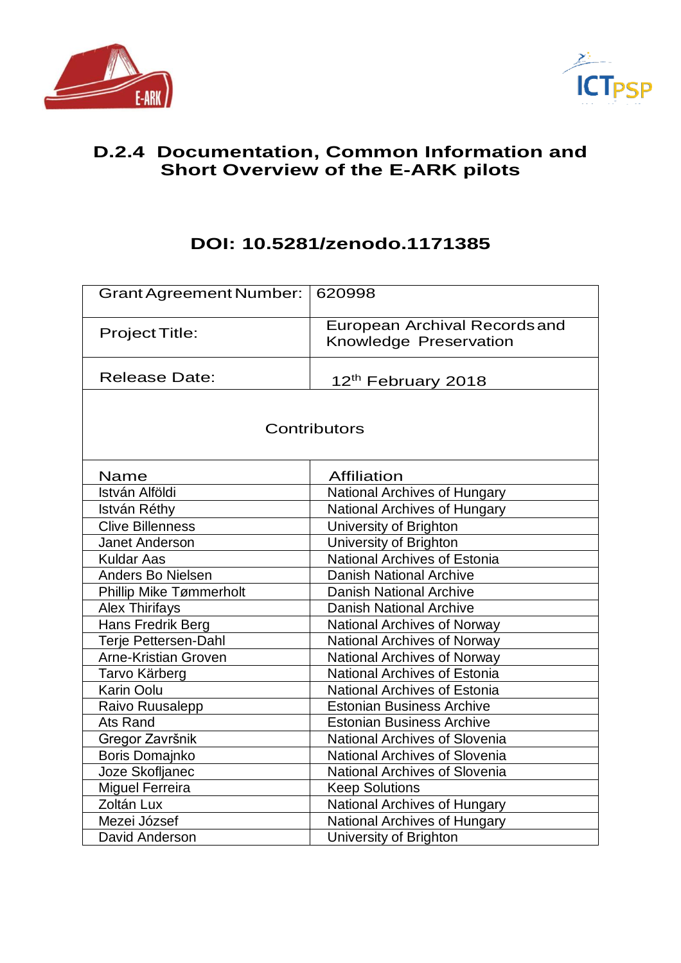



# **D.2.4 Documentation, Common Information and Short Overview of the E-ARK pilots**

# **DOI: 10.5281/zenodo.1171385**

| Grant Agreement Number:        | 620998                                                         |
|--------------------------------|----------------------------------------------------------------|
| Project Title:                 | <b>European Archival Records and</b><br>Knowledge Preservation |
| <b>Release Date:</b>           | 12 <sup>th</sup> February 2018                                 |
|                                | Contributors                                                   |
| Name                           | <b>Affiliation</b>                                             |
| István Alföldi                 | National Archives of Hungary                                   |
| István Réthy                   | <b>National Archives of Hungary</b>                            |
| <b>Clive Billenness</b>        | University of Brighton                                         |
| <b>Janet Anderson</b>          | University of Brighton                                         |
| <b>Kuldar Aas</b>              | <b>National Archives of Estonia</b>                            |
| <b>Anders Bo Nielsen</b>       | <b>Danish National Archive</b>                                 |
| <b>Phillip Mike Tømmerholt</b> | <b>Danish National Archive</b>                                 |
| <b>Alex Thirifays</b>          | <b>Danish National Archive</b>                                 |
| Hans Fredrik Berg              | <b>National Archives of Norway</b>                             |
| Terje Pettersen-Dahl           | <b>National Archives of Norway</b>                             |
| <b>Arne-Kristian Groven</b>    | <b>National Archives of Norway</b>                             |
| Tarvo Kärberg                  | <b>National Archives of Estonia</b>                            |
| <b>Karin Oolu</b>              | <b>National Archives of Estonia</b>                            |
| Raivo Ruusalepp                | <b>Estonian Business Archive</b>                               |
| <b>Ats Rand</b>                | <b>Estonian Business Archive</b>                               |
| Gregor Završnik                | <b>National Archives of Slovenia</b>                           |
| Boris Domajnko                 | <b>National Archives of Slovenia</b>                           |
| Joze Skofljanec                | <b>National Archives of Slovenia</b>                           |
| <b>Miguel Ferreira</b>         | <b>Keep Solutions</b>                                          |
| Zoltán Lux                     | National Archives of Hungary                                   |
| Mezei József                   | <b>National Archives of Hungary</b>                            |
| David Anderson                 | University of Brighton                                         |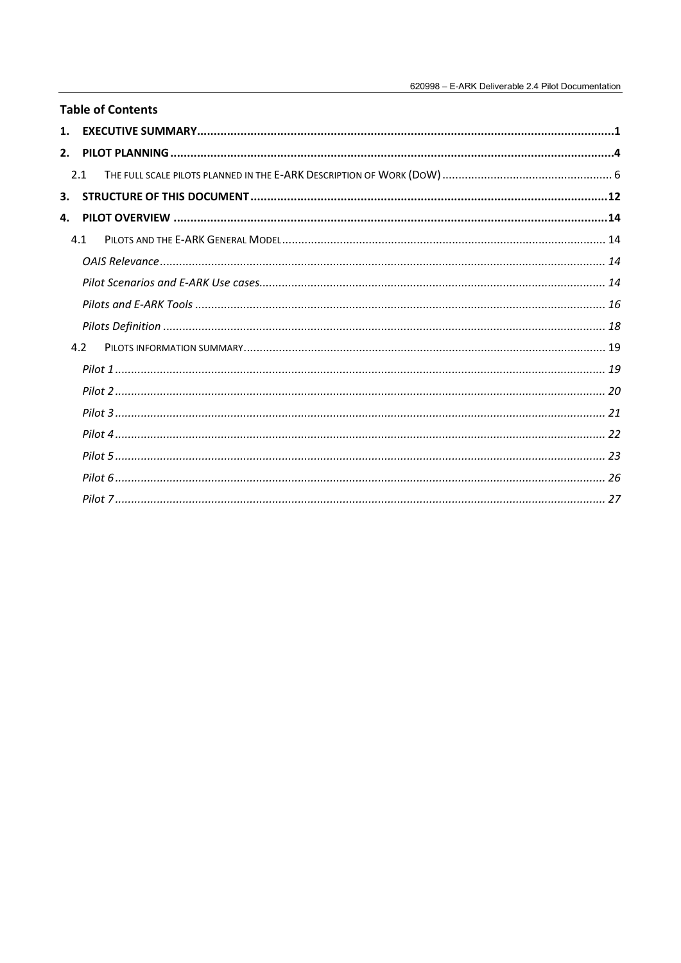| 2.<br>2.1<br>4.1<br>4.2 | <b>Table of Contents</b> |
|-------------------------|--------------------------|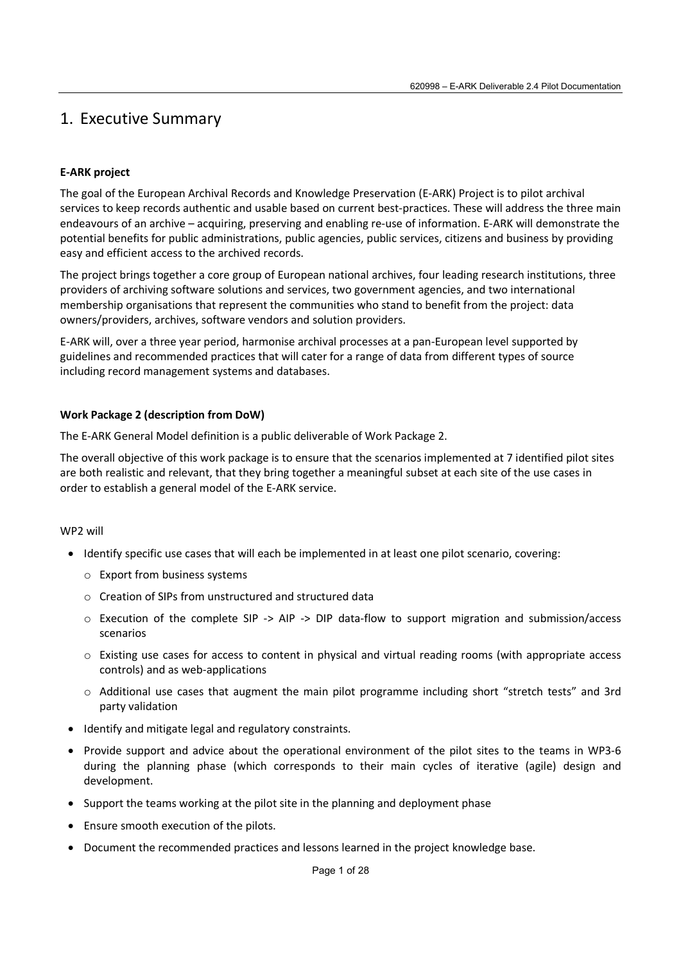# 1. Executive Summary

## **E-ARK project**

The goal of the European Archival Records and Knowledge Preservation (E-ARK) Project is to pilot archival services to keep records authentic and usable based on current best-practices. These will address the three main endeavours of an archive – acquiring, preserving and enabling re-use of information. E-ARK will demonstrate the potential benefits for public administrations, public agencies, public services, citizens and business by providing easy and efficient access to the archived records.

The project brings together a core group of European national archives, four leading research institutions, three providers of archiving software solutions and services, two government agencies, and two international membership organisations that represent the communities who stand to benefit from the project: data owners/providers, archives, software vendors and solution providers.

E-ARK will, over a three year period, harmonise archival processes at a pan-European level supported by guidelines and recommended practices that will cater for a range of data from different types of source including record management systems and databases.

### **Work Package 2 (description from DoW)**

The E-ARK General Model definition is a public deliverable of Work Package 2.

The overall objective of this work package is to ensure that the scenarios implemented at 7 identified pilot sites are both realistic and relevant, that they bring together a meaningful subset at each site of the use cases in order to establish a general model of the E-ARK service.

### WP2 will

- Identify specific use cases that will each be implemented in at least one pilot scenario, covering:
	- o Export from business systems
	- o Creation of SIPs from unstructured and structured data
	- o Execution of the complete SIP -> AIP -> DIP data-flow to support migration and submission/access scenarios
	- o Existing use cases for access to content in physical and virtual reading rooms (with appropriate access controls) and as web-applications
	- o Additional use cases that augment the main pilot programme including short "stretch tests" and 3rd party validation
- Identify and mitigate legal and regulatory constraints.
- Provide support and advice about the operational environment of the pilot sites to the teams in WP3-6 during the planning phase (which corresponds to their main cycles of iterative (agile) design and development.
- Support the teams working at the pilot site in the planning and deployment phase
- Ensure smooth execution of the pilots.
- Document the recommended practices and lessons learned in the project knowledge base.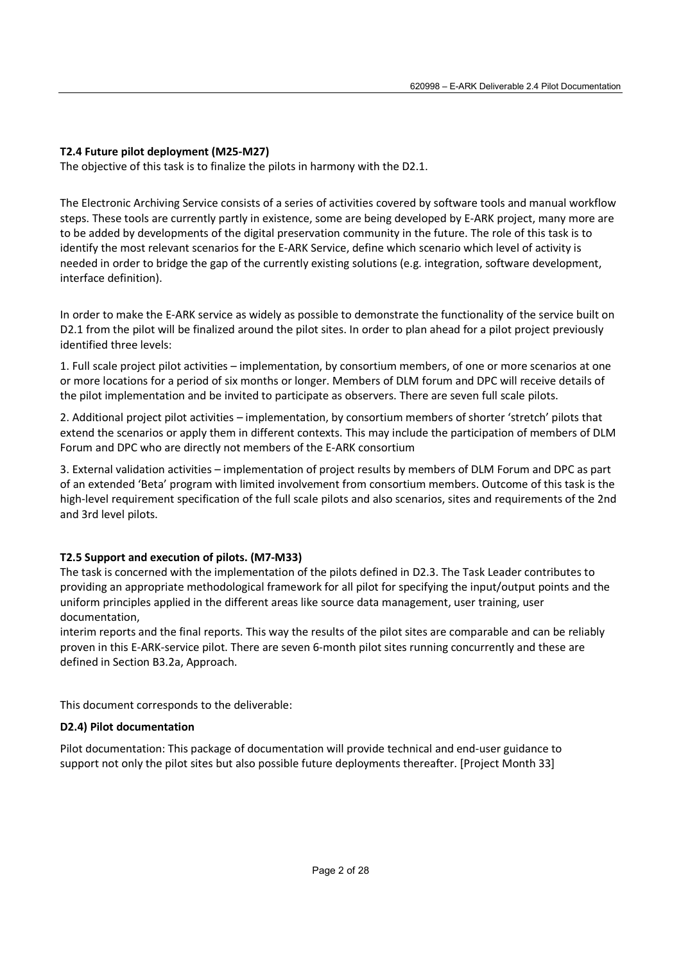## **T2.4 Future pilot deployment (M25-M27)**

The objective of this task is to finalize the pilots in harmony with the D2.1.

The Electronic Archiving Service consists of a series of activities covered by software tools and manual workflow steps. These tools are currently partly in existence, some are being developed by E-ARK project, many more are to be added by developments of the digital preservation community in the future. The role of this task is to identify the most relevant scenarios for the E-ARK Service, define which scenario which level of activity is needed in order to bridge the gap of the currently existing solutions (e.g. integration, software development, interface definition).

In order to make the E-ARK service as widely as possible to demonstrate the functionality of the service built on D2.1 from the pilot will be finalized around the pilot sites. In order to plan ahead for a pilot project previously identified three levels:

1. Full scale project pilot activities – implementation, by consortium members, of one or more scenarios at one or more locations for a period of six months or longer. Members of DLM forum and DPC will receive details of the pilot implementation and be invited to participate as observers. There are seven full scale pilots.

2. Additional project pilot activities – implementation, by consortium members of shorter 'stretch' pilots that extend the scenarios or apply them in different contexts. This may include the participation of members of DLM Forum and DPC who are directly not members of the E-ARK consortium

3. External validation activities – implementation of project results by members of DLM Forum and DPC as part of an extended 'Beta' program with limited involvement from consortium members. Outcome of this task is the high-level requirement specification of the full scale pilots and also scenarios, sites and requirements of the 2nd and 3rd level pilots.

### **T2.5 Support and execution of pilots. (M7-M33)**

The task is concerned with the implementation of the pilots defined in D2.3. The Task Leader contributes to providing an appropriate methodological framework for all pilot for specifying the input/output points and the uniform principles applied in the different areas like source data management, user training, user documentation,

interim reports and the final reports. This way the results of the pilot sites are comparable and can be reliably proven in this E-ARK-service pilot. There are seven 6-month pilot sites running concurrently and these are defined in Section B3.2a, Approach.

This document corresponds to the deliverable:

### **D2.4) Pilot documentation**

Pilot documentation: This package of documentation will provide technical and end-user guidance to support not only the pilot sites but also possible future deployments thereafter. [Project Month 33]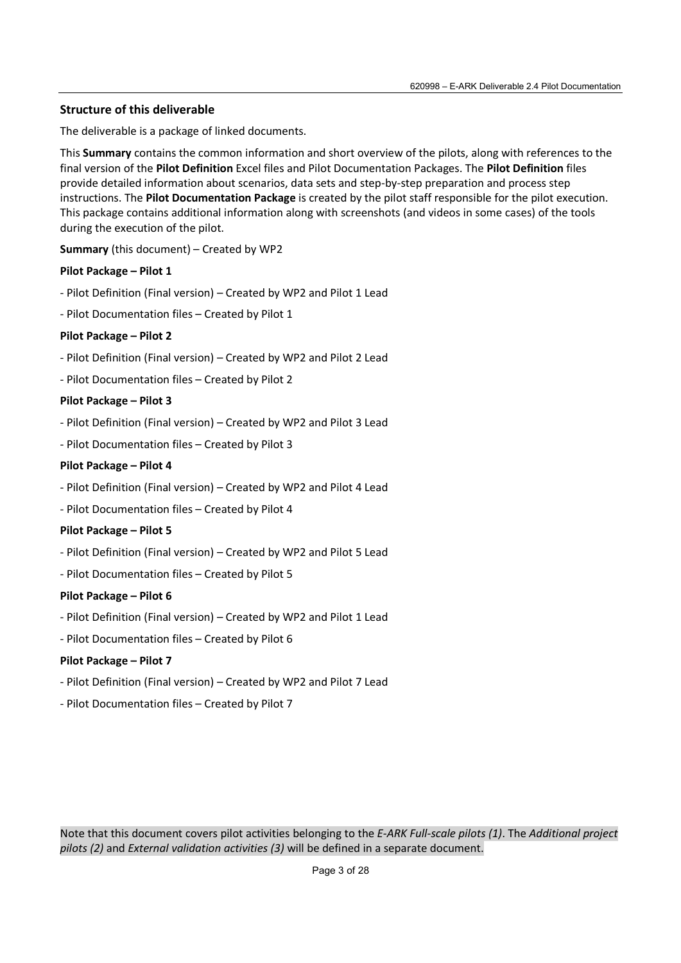## **Structure of this deliverable**

The deliverable is a package of linked documents.

This **Summary** contains the common information and short overview of the pilots, along with references to the final version of the **Pilot Definition** Excel files and Pilot Documentation Packages. The **Pilot Definition** files provide detailed information about scenarios, data sets and step-by-step preparation and process step instructions. The **Pilot Documentation Package** is created by the pilot staff responsible for the pilot execution. This package contains additional information along with screenshots (and videos in some cases) of the tools during the execution of the pilot.

**Summary** (this document) – Created by WP2

### **Pilot Package – Pilot 1**

- Pilot Definition (Final version) Created by WP2 and Pilot 1 Lead
- Pilot Documentation files Created by Pilot 1

### **Pilot Package – Pilot 2**

- Pilot Definition (Final version) Created by WP2 and Pilot 2 Lead
- Pilot Documentation files Created by Pilot 2

### **Pilot Package – Pilot 3**

- Pilot Definition (Final version) Created by WP2 and Pilot 3 Lead
- Pilot Documentation files Created by Pilot 3

### **Pilot Package – Pilot 4**

- Pilot Definition (Final version) Created by WP2 and Pilot 4 Lead
- Pilot Documentation files Created by Pilot 4

### **Pilot Package – Pilot 5**

- Pilot Definition (Final version) Created by WP2 and Pilot 5 Lead
- Pilot Documentation files Created by Pilot 5

#### **Pilot Package – Pilot 6**

- Pilot Definition (Final version) Created by WP2 and Pilot 1 Lead
- Pilot Documentation files Created by Pilot 6

### **Pilot Package – Pilot 7**

- Pilot Definition (Final version) Created by WP2 and Pilot 7 Lead
- Pilot Documentation files Created by Pilot 7

Note that this document covers pilot activities belonging to the *E-ARK Full-scale pilots (1)*. The *Additional project pilots (2)* and *External validation activities (3)* will be defined in a separate document.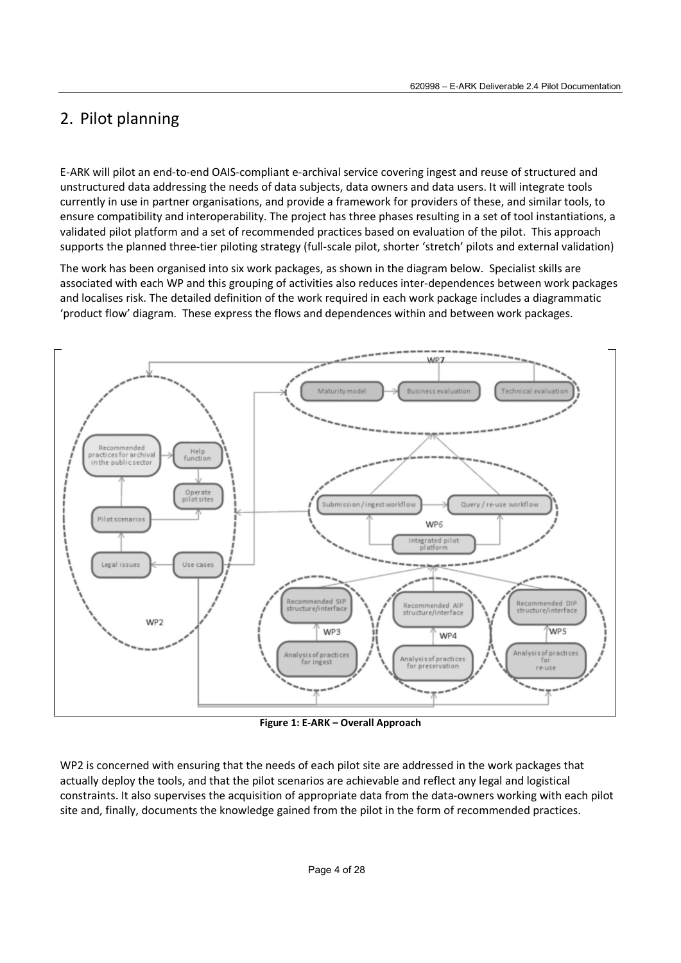# 2. Pilot planning

E-ARK will pilot an end-to-end OAIS-compliant e-archival service covering ingest and reuse of structured and unstructured data addressing the needs of data subjects, data owners and data users. It will integrate tools currently in use in partner organisations, and provide a framework for providers of these, and similar tools, to ensure compatibility and interoperability. The project has three phases resulting in a set of tool instantiations, a validated pilot platform and a set of recommended practices based on evaluation of the pilot. This approach supports the planned three-tier piloting strategy (full-scale pilot, shorter 'stretch' pilots and external validation)

The work has been organised into six work packages, as shown in the diagram below. Specialist skills are associated with each WP and this grouping of activities also reduces inter-dependences between work packages and localises risk. The detailed definition of the work required in each work package includes a diagrammatic 'product flow' diagram. These express the flows and dependences within and between work packages.



**Figure 1: E-ARK – Overall Approach** 

WP2 is concerned with ensuring that the needs of each pilot site are addressed in the work packages that actually deploy the tools, and that the pilot scenarios are achievable and reflect any legal and logistical constraints. It also supervises the acquisition of appropriate data from the data-owners working with each pilot site and, finally, documents the knowledge gained from the pilot in the form of recommended practices.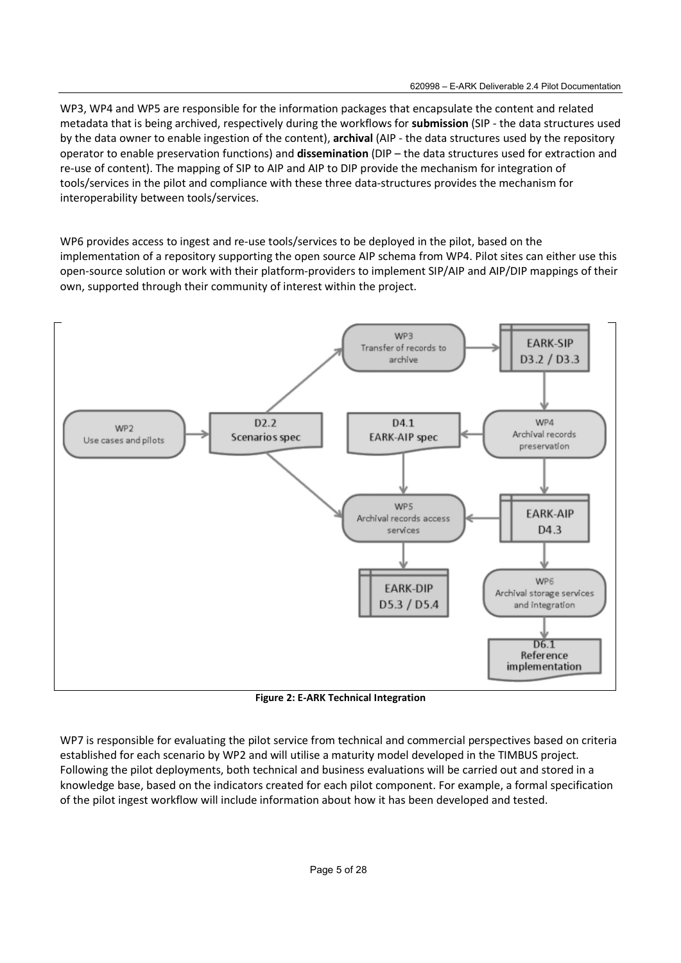WP3, WP4 and WP5 are responsible for the information packages that encapsulate the content and related metadata that is being archived, respectively during the workflows for **submission** (SIP - the data structures used by the data owner to enable ingestion of the content), **archival** (AIP - the data structures used by the repository operator to enable preservation functions) and **dissemination** (DIP – the data structures used for extraction and re-use of content). The mapping of SIP to AIP and AIP to DIP provide the mechanism for integration of tools/services in the pilot and compliance with these three data-structures provides the mechanism for interoperability between tools/services.

WP6 provides access to ingest and re-use tools/services to be deployed in the pilot, based on the implementation of a repository supporting the open source AIP schema from WP4. Pilot sites can either use this open-source solution or work with their platform-providers to implement SIP/AIP and AIP/DIP mappings of their own, supported through their community of interest within the project.



**Figure 2: E-ARK Technical Integration** 

WP7 is responsible for evaluating the pilot service from technical and commercial perspectives based on criteria established for each scenario by WP2 and will utilise a maturity model developed in the TIMBUS project. Following the pilot deployments, both technical and business evaluations will be carried out and stored in a knowledge base, based on the indicators created for each pilot component. For example, a formal specification of the pilot ingest workflow will include information about how it has been developed and tested.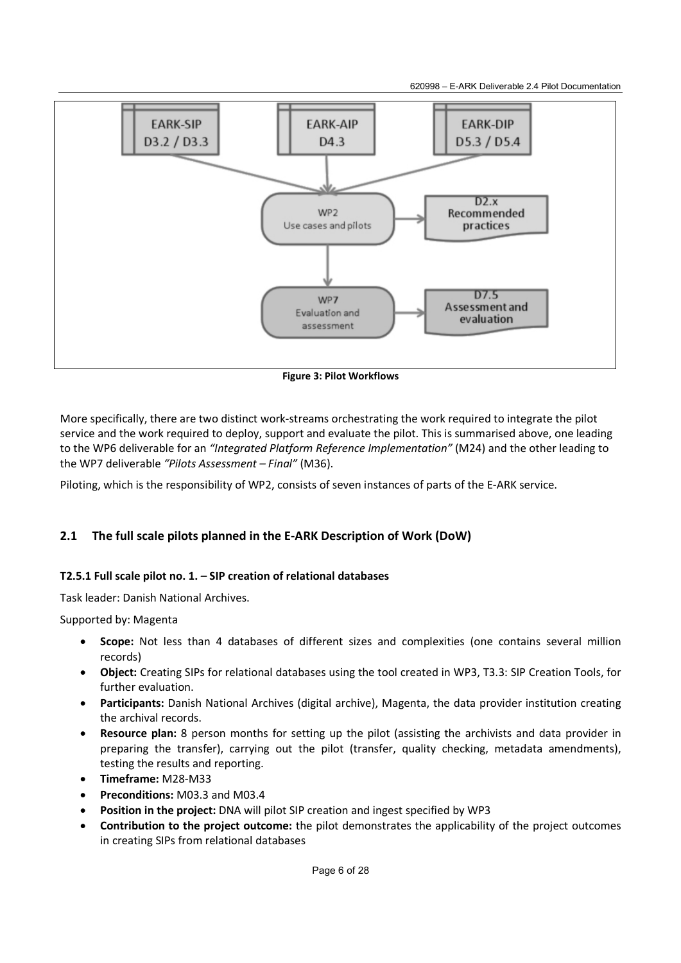620998 – E-ARK Deliverable 2.4 Pilot Documentation



**Figure 3: Pilot Workflows** 

More specifically, there are two distinct work-streams orchestrating the work required to integrate the pilot service and the work required to deploy, support and evaluate the pilot. This is summarised above, one leading to the WP6 deliverable for an *"Integrated Platform Reference Implementation"* (M24) and the other leading to the WP7 deliverable *"Pilots Assessment – Final"* (M36).

Piloting, which is the responsibility of WP2, consists of seven instances of parts of the E-ARK service.

## **2.1 The full scale pilots planned in the E-ARK Description of Work (DoW)**

## **T2.5.1 Full scale pilot no. 1. – SIP creation of relational databases**

Task leader: Danish National Archives.

Supported by: Magenta

- **Scope:** Not less than 4 databases of different sizes and complexities (one contains several million records)
- **Object:** Creating SIPs for relational databases using the tool created in WP3, T3.3: SIP Creation Tools, for further evaluation.
- **Participants:** Danish National Archives (digital archive), Magenta, the data provider institution creating the archival records.
- **Resource plan:** 8 person months for setting up the pilot (assisting the archivists and data provider in preparing the transfer), carrying out the pilot (transfer, quality checking, metadata amendments), testing the results and reporting.
- **Timeframe:** M28-M33
- **Preconditions:** M03.3 and M03.4
- **Position in the project:** DNA will pilot SIP creation and ingest specified by WP3
- **Contribution to the project outcome:** the pilot demonstrates the applicability of the project outcomes in creating SIPs from relational databases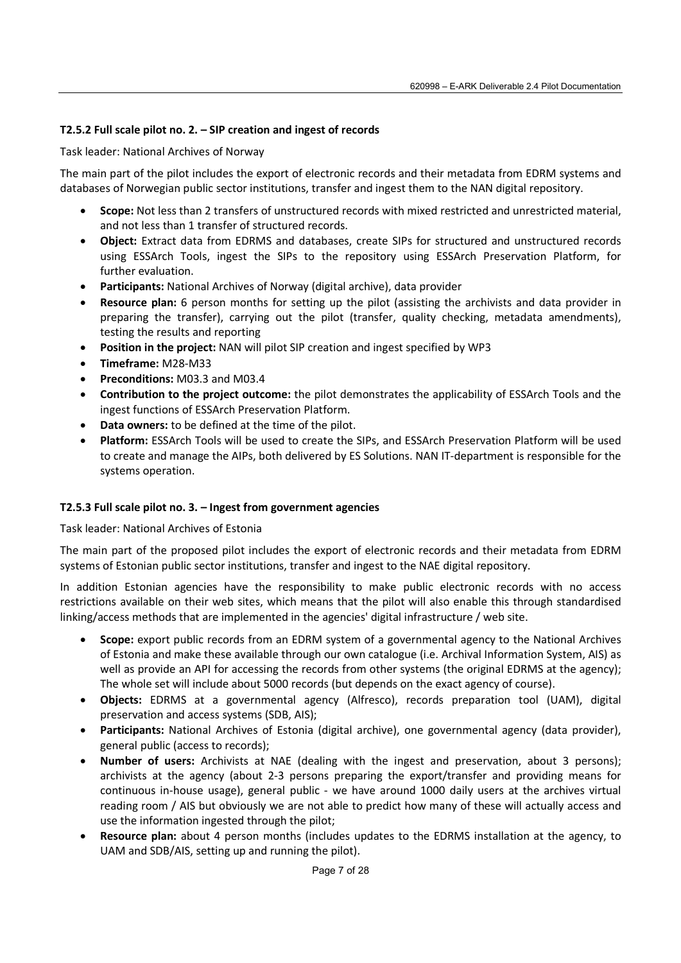## **T2.5.2 Full scale pilot no. 2. – SIP creation and ingest of records**

Task leader: National Archives of Norway

The main part of the pilot includes the export of electronic records and their metadata from EDRM systems and databases of Norwegian public sector institutions, transfer and ingest them to the NAN digital repository.

- **Scope:** Not less than 2 transfers of unstructured records with mixed restricted and unrestricted material, and not less than 1 transfer of structured records.
- **Object:** Extract data from EDRMS and databases, create SIPs for structured and unstructured records using ESSArch Tools, ingest the SIPs to the repository using ESSArch Preservation Platform, for further evaluation.
- **Participants:** National Archives of Norway (digital archive), data provider
- **Resource plan:** 6 person months for setting up the pilot (assisting the archivists and data provider in preparing the transfer), carrying out the pilot (transfer, quality checking, metadata amendments), testing the results and reporting
- **Position in the project:** NAN will pilot SIP creation and ingest specified by WP3
- **Timeframe:** M28-M33
- **Preconditions:** M03.3 and M03.4
- **Contribution to the project outcome:** the pilot demonstrates the applicability of ESSArch Tools and the ingest functions of ESSArch Preservation Platform.
- **Data owners:** to be defined at the time of the pilot.
- **Platform:** ESSArch Tools will be used to create the SIPs, and ESSArch Preservation Platform will be used to create and manage the AIPs, both delivered by ES Solutions. NAN IT-department is responsible for the systems operation.

### **T2.5.3 Full scale pilot no. 3. – Ingest from government agencies**

Task leader: National Archives of Estonia

The main part of the proposed pilot includes the export of electronic records and their metadata from EDRM systems of Estonian public sector institutions, transfer and ingest to the NAE digital repository.

In addition Estonian agencies have the responsibility to make public electronic records with no access restrictions available on their web sites, which means that the pilot will also enable this through standardised linking/access methods that are implemented in the agencies' digital infrastructure / web site.

- **Scope:** export public records from an EDRM system of a governmental agency to the National Archives of Estonia and make these available through our own catalogue (i.e. Archival Information System, AIS) as well as provide an API for accessing the records from other systems (the original EDRMS at the agency); The whole set will include about 5000 records (but depends on the exact agency of course).
- **Objects:** EDRMS at a governmental agency (Alfresco), records preparation tool (UAM), digital preservation and access systems (SDB, AIS);
- **Participants:** National Archives of Estonia (digital archive), one governmental agency (data provider), general public (access to records);
- **Number of users:** Archivists at NAE (dealing with the ingest and preservation, about 3 persons); archivists at the agency (about 2-3 persons preparing the export/transfer and providing means for continuous in-house usage), general public - we have around 1000 daily users at the archives virtual reading room / AIS but obviously we are not able to predict how many of these will actually access and use the information ingested through the pilot;
- **Resource plan:** about 4 person months (includes updates to the EDRMS installation at the agency, to UAM and SDB/AIS, setting up and running the pilot).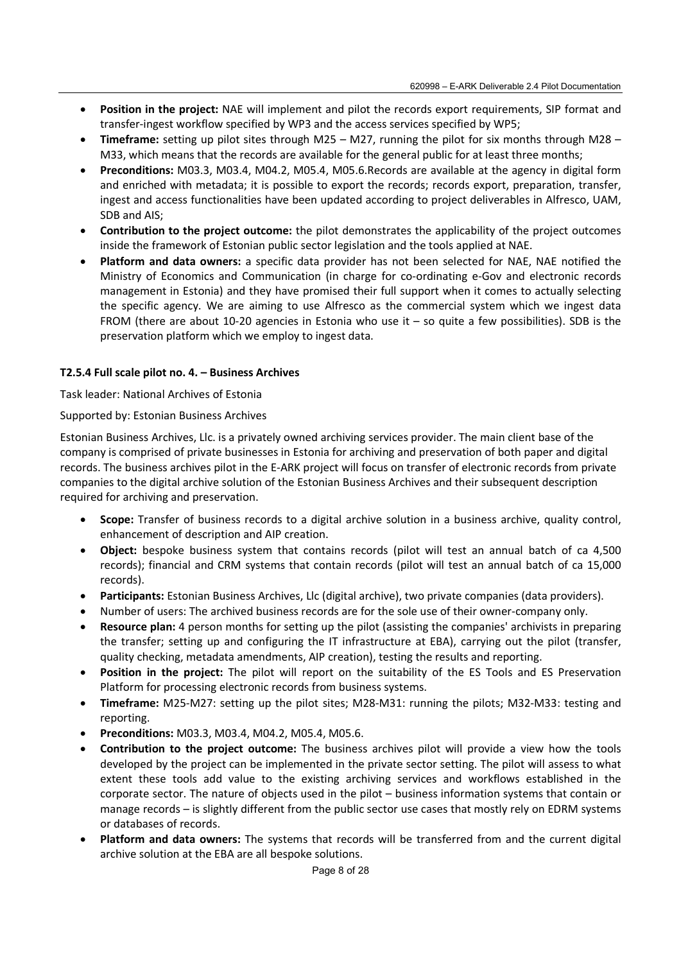- **Position in the project:** NAE will implement and pilot the records export requirements, SIP format and transfer-ingest workflow specified by WP3 and the access services specified by WP5;
- **Timeframe:** setting up pilot sites through M25 M27, running the pilot for six months through M28 M33, which means that the records are available for the general public for at least three months;
- **Preconditions:** M03.3, M03.4, M04.2, M05.4, M05.6.Records are available at the agency in digital form and enriched with metadata; it is possible to export the records; records export, preparation, transfer, ingest and access functionalities have been updated according to project deliverables in Alfresco, UAM, SDB and AIS;
- **Contribution to the project outcome:** the pilot demonstrates the applicability of the project outcomes inside the framework of Estonian public sector legislation and the tools applied at NAE.
- **Platform and data owners:** a specific data provider has not been selected for NAE, NAE notified the Ministry of Economics and Communication (in charge for co-ordinating e-Gov and electronic records management in Estonia) and they have promised their full support when it comes to actually selecting the specific agency. We are aiming to use Alfresco as the commercial system which we ingest data FROM (there are about 10-20 agencies in Estonia who use it – so quite a few possibilities). SDB is the preservation platform which we employ to ingest data.

### **T2.5.4 Full scale pilot no. 4. – Business Archives**

Task leader: National Archives of Estonia

### Supported by: Estonian Business Archives

Estonian Business Archives, Llc. is a privately owned archiving services provider. The main client base of the company is comprised of private businesses in Estonia for archiving and preservation of both paper and digital records. The business archives pilot in the E-ARK project will focus on transfer of electronic records from private companies to the digital archive solution of the Estonian Business Archives and their subsequent description required for archiving and preservation.

- **Scope:** Transfer of business records to a digital archive solution in a business archive, quality control, enhancement of description and AIP creation.
- **Object:** bespoke business system that contains records (pilot will test an annual batch of ca 4,500 records); financial and CRM systems that contain records (pilot will test an annual batch of ca 15,000 records).
- **Participants:** Estonian Business Archives, Llc (digital archive), two private companies (data providers).
- Number of users: The archived business records are for the sole use of their owner-company only.
- **Resource plan:** 4 person months for setting up the pilot (assisting the companies' archivists in preparing the transfer; setting up and configuring the IT infrastructure at EBA), carrying out the pilot (transfer, quality checking, metadata amendments, AIP creation), testing the results and reporting.
- **Position in the project:** The pilot will report on the suitability of the ES Tools and ES Preservation Platform for processing electronic records from business systems.
- **Timeframe:** M25-M27: setting up the pilot sites; M28-M31: running the pilots; M32-M33: testing and reporting.
- **Preconditions:** M03.3, M03.4, M04.2, M05.4, M05.6.
- **Contribution to the project outcome:** The business archives pilot will provide a view how the tools developed by the project can be implemented in the private sector setting. The pilot will assess to what extent these tools add value to the existing archiving services and workflows established in the corporate sector. The nature of objects used in the pilot – business information systems that contain or manage records – is slightly different from the public sector use cases that mostly rely on EDRM systems or databases of records.
- **Platform and data owners:** The systems that records will be transferred from and the current digital archive solution at the EBA are all bespoke solutions.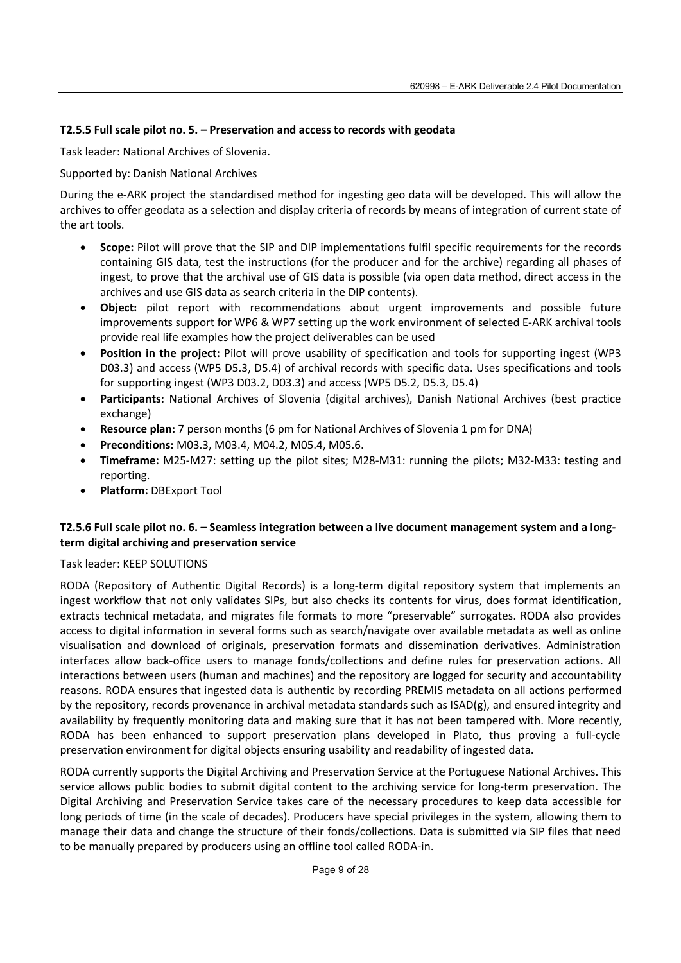## **T2.5.5 Full scale pilot no. 5. – Preservation and access to records with geodata**

Task leader: National Archives of Slovenia.

## Supported by: Danish National Archives

During the e-ARK project the standardised method for ingesting geo data will be developed. This will allow the archives to offer geodata as a selection and display criteria of records by means of integration of current state of the art tools.

- **Scope:** Pilot will prove that the SIP and DIP implementations fulfil specific requirements for the records containing GIS data, test the instructions (for the producer and for the archive) regarding all phases of ingest, to prove that the archival use of GIS data is possible (via open data method, direct access in the archives and use GIS data as search criteria in the DIP contents).
- **Object:** pilot report with recommendations about urgent improvements and possible future improvements support for WP6 & WP7 setting up the work environment of selected E-ARK archival tools provide real life examples how the project deliverables can be used
- **Position in the project:** Pilot will prove usability of specification and tools for supporting ingest (WP3 D03.3) and access (WP5 D5.3, D5.4) of archival records with specific data. Uses specifications and tools for supporting ingest (WP3 D03.2, D03.3) and access (WP5 D5.2, D5.3, D5.4)
- **Participants:** National Archives of Slovenia (digital archives), Danish National Archives (best practice exchange)
- **Resource plan:** 7 person months (6 pm for National Archives of Slovenia 1 pm for DNA)
- **Preconditions:** M03.3, M03.4, M04.2, M05.4, M05.6.
- **Timeframe:** M25-M27: setting up the pilot sites; M28-M31: running the pilots; M32-M33: testing and reporting.
- **Platform:** DBExport Tool

## **T2.5.6 Full scale pilot no. 6. – Seamless integration between a live document management system and a longterm digital archiving and preservation service**

## Task leader: KEEP SOLUTIONS

RODA (Repository of Authentic Digital Records) is a long-term digital repository system that implements an ingest workflow that not only validates SIPs, but also checks its contents for virus, does format identification, extracts technical metadata, and migrates file formats to more "preservable" surrogates. RODA also provides access to digital information in several forms such as search/navigate over available metadata as well as online visualisation and download of originals, preservation formats and dissemination derivatives. Administration interfaces allow back-office users to manage fonds/collections and define rules for preservation actions. All interactions between users (human and machines) and the repository are logged for security and accountability reasons. RODA ensures that ingested data is authentic by recording PREMIS metadata on all actions performed by the repository, records provenance in archival metadata standards such as ISAD(g), and ensured integrity and availability by frequently monitoring data and making sure that it has not been tampered with. More recently, RODA has been enhanced to support preservation plans developed in Plato, thus proving a full-cycle preservation environment for digital objects ensuring usability and readability of ingested data.

RODA currently supports the Digital Archiving and Preservation Service at the Portuguese National Archives. This service allows public bodies to submit digital content to the archiving service for long-term preservation. The Digital Archiving and Preservation Service takes care of the necessary procedures to keep data accessible for long periods of time (in the scale of decades). Producers have special privileges in the system, allowing them to manage their data and change the structure of their fonds/collections. Data is submitted via SIP files that need to be manually prepared by producers using an offline tool called RODA-in.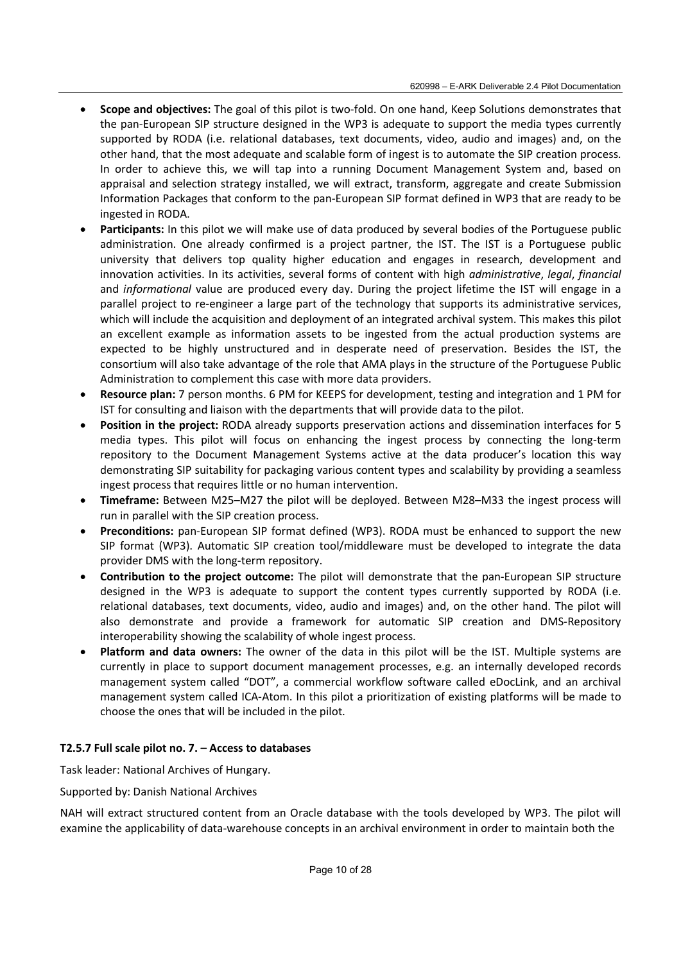- **Scope and objectives:** The goal of this pilot is two-fold. On one hand, Keep Solutions demonstrates that the pan-European SIP structure designed in the WP3 is adequate to support the media types currently supported by RODA (i.e. relational databases, text documents, video, audio and images) and, on the other hand, that the most adequate and scalable form of ingest is to automate the SIP creation process. In order to achieve this, we will tap into a running Document Management System and, based on appraisal and selection strategy installed, we will extract, transform, aggregate and create Submission Information Packages that conform to the pan-European SIP format defined in WP3 that are ready to be ingested in RODA.
- **Participants:** In this pilot we will make use of data produced by several bodies of the Portuguese public administration. One already confirmed is a project partner, the IST. The IST is a Portuguese public university that delivers top quality higher education and engages in research, development and innovation activities. In its activities, several forms of content with high *administrative*, *legal*, *financial* and *informational* value are produced every day. During the project lifetime the IST will engage in a parallel project to re-engineer a large part of the technology that supports its administrative services, which will include the acquisition and deployment of an integrated archival system. This makes this pilot an excellent example as information assets to be ingested from the actual production systems are expected to be highly unstructured and in desperate need of preservation. Besides the IST, the consortium will also take advantage of the role that AMA plays in the structure of the Portuguese Public Administration to complement this case with more data providers.
- **Resource plan:** 7 person months. 6 PM for KEEPS for development, testing and integration and 1 PM for IST for consulting and liaison with the departments that will provide data to the pilot.
- **Position in the project:** RODA already supports preservation actions and dissemination interfaces for 5 media types. This pilot will focus on enhancing the ingest process by connecting the long-term repository to the Document Management Systems active at the data producer's location this way demonstrating SIP suitability for packaging various content types and scalability by providing a seamless ingest process that requires little or no human intervention.
- **Timeframe:** Between M25–M27 the pilot will be deployed. Between M28–M33 the ingest process will run in parallel with the SIP creation process.
- Preconditions: pan-European SIP format defined (WP3). RODA must be enhanced to support the new SIP format (WP3). Automatic SIP creation tool/middleware must be developed to integrate the data provider DMS with the long-term repository.
- **Contribution to the project outcome:** The pilot will demonstrate that the pan-European SIP structure designed in the WP3 is adequate to support the content types currently supported by RODA (i.e. relational databases, text documents, video, audio and images) and, on the other hand. The pilot will also demonstrate and provide a framework for automatic SIP creation and DMS-Repository interoperability showing the scalability of whole ingest process.
- **Platform and data owners:** The owner of the data in this pilot will be the IST. Multiple systems are currently in place to support document management processes, e.g. an internally developed records management system called "DOT", a commercial workflow software called eDocLink, and an archival management system called ICA-Atom. In this pilot a prioritization of existing platforms will be made to choose the ones that will be included in the pilot.

## **T2.5.7 Full scale pilot no. 7. – Access to databases**

Task leader: National Archives of Hungary.

Supported by: Danish National Archives

NAH will extract structured content from an Oracle database with the tools developed by WP3. The pilot will examine the applicability of data-warehouse concepts in an archival environment in order to maintain both the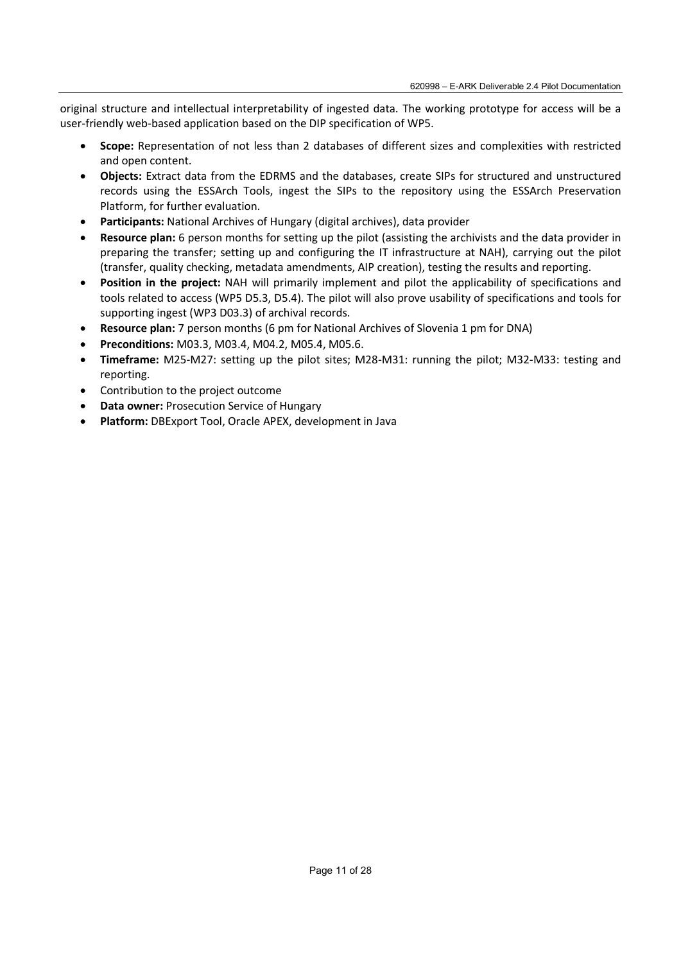original structure and intellectual interpretability of ingested data. The working prototype for access will be a user-friendly web-based application based on the DIP specification of WP5.

- **Scope:** Representation of not less than 2 databases of different sizes and complexities with restricted and open content.
- **Objects:** Extract data from the EDRMS and the databases, create SIPs for structured and unstructured records using the ESSArch Tools, ingest the SIPs to the repository using the ESSArch Preservation Platform, for further evaluation.
- **Participants:** National Archives of Hungary (digital archives), data provider
- **Resource plan:** 6 person months for setting up the pilot (assisting the archivists and the data provider in preparing the transfer; setting up and configuring the IT infrastructure at NAH), carrying out the pilot (transfer, quality checking, metadata amendments, AIP creation), testing the results and reporting.
- **Position in the project:** NAH will primarily implement and pilot the applicability of specifications and tools related to access (WP5 D5.3, D5.4). The pilot will also prove usability of specifications and tools for supporting ingest (WP3 D03.3) of archival records.
- **Resource plan:** 7 person months (6 pm for National Archives of Slovenia 1 pm for DNA)
- **Preconditions:** M03.3, M03.4, M04.2, M05.4, M05.6.
- **Timeframe:** M25-M27: setting up the pilot sites; M28-M31: running the pilot; M32-M33: testing and reporting.
- Contribution to the project outcome
- **Data owner:** Prosecution Service of Hungary
- **Platform:** DBExport Tool, Oracle APEX, development in Java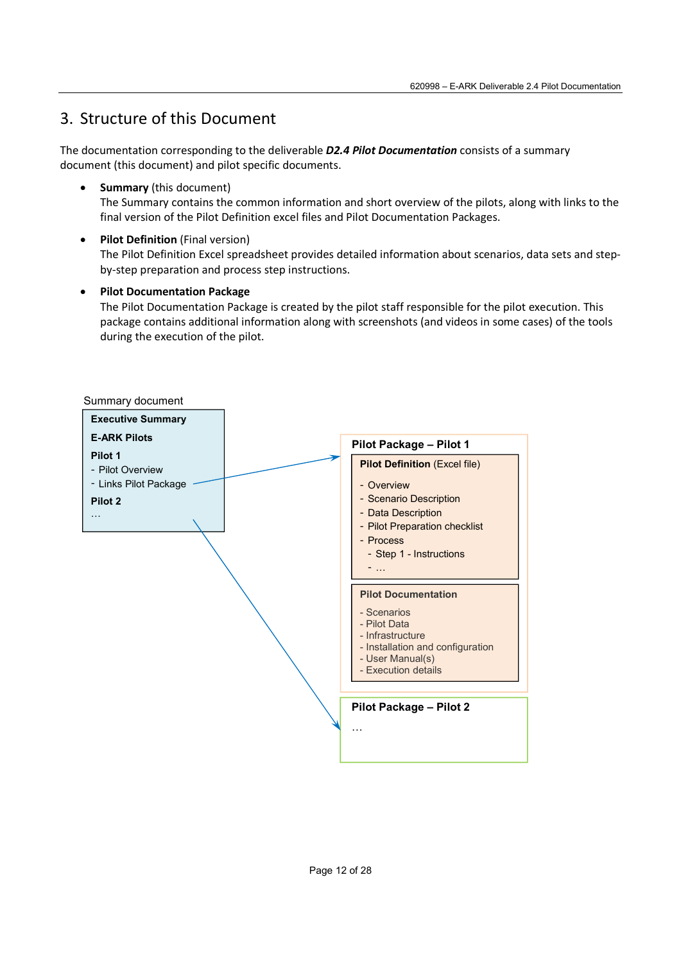# 3. Structure of this Document

The documentation corresponding to the deliverable *D2.4 Pilot Documentation* consists of a summary document (this document) and pilot specific documents.

- **•** Summary (this document) The Summary contains the common information and short overview of the pilots, along with links to the final version of the Pilot Definition excel files and Pilot Documentation Packages.
- **•** Pilot Definition (Final version) The Pilot Definition Excel spreadsheet provides detailed information about scenarios, data sets and stepby-step preparation and process step instructions.
- **Pilot Documentation Package**

The Pilot Documentation Package is created by the pilot staff responsible for the pilot execution. This package contains additional information along with screenshots (and videos in some cases) of the tools during the execution of the pilot.

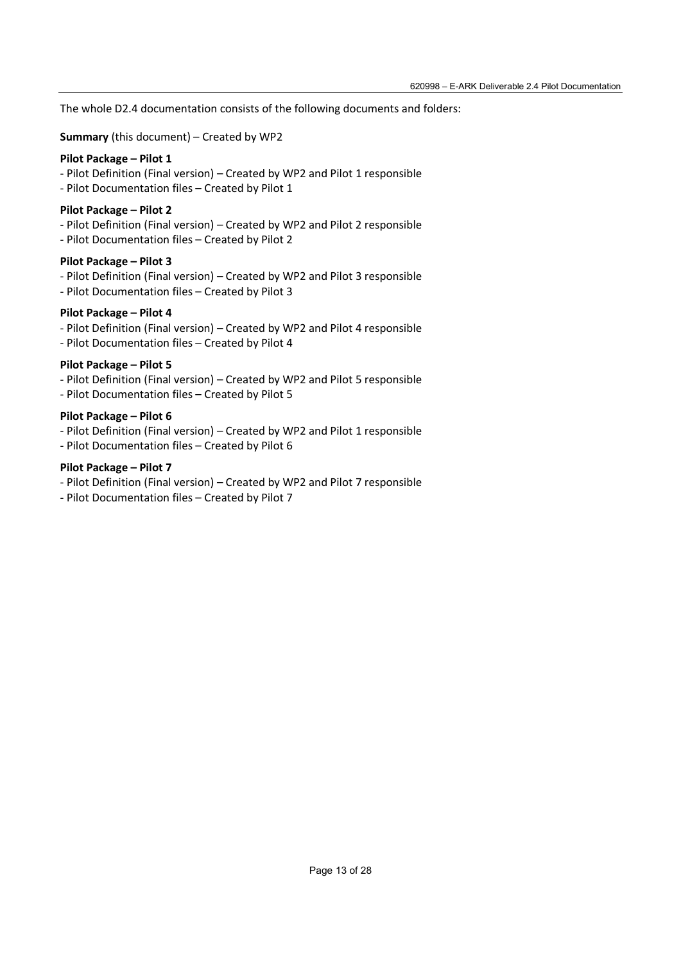The whole D2.4 documentation consists of the following documents and folders:

**Summary** (this document) – Created by WP2

### **Pilot Package – Pilot 1**

- Pilot Definition (Final version) Created by WP2 and Pilot 1 responsible
- Pilot Documentation files Created by Pilot 1

### **Pilot Package – Pilot 2**

- Pilot Definition (Final version) Created by WP2 and Pilot 2 responsible
- Pilot Documentation files Created by Pilot 2

### **Pilot Package – Pilot 3**

- Pilot Definition (Final version) Created by WP2 and Pilot 3 responsible
- Pilot Documentation files Created by Pilot 3

### **Pilot Package – Pilot 4**

- Pilot Definition (Final version) Created by WP2 and Pilot 4 responsible
- Pilot Documentation files Created by Pilot 4

### **Pilot Package – Pilot 5**

- Pilot Definition (Final version) Created by WP2 and Pilot 5 responsible
- Pilot Documentation files Created by Pilot 5

### **Pilot Package – Pilot 6**

- Pilot Definition (Final version) Created by WP2 and Pilot 1 responsible
- Pilot Documentation files Created by Pilot 6

### **Pilot Package – Pilot 7**

- Pilot Definition (Final version) Created by WP2 and Pilot 7 responsible
- Pilot Documentation files Created by Pilot 7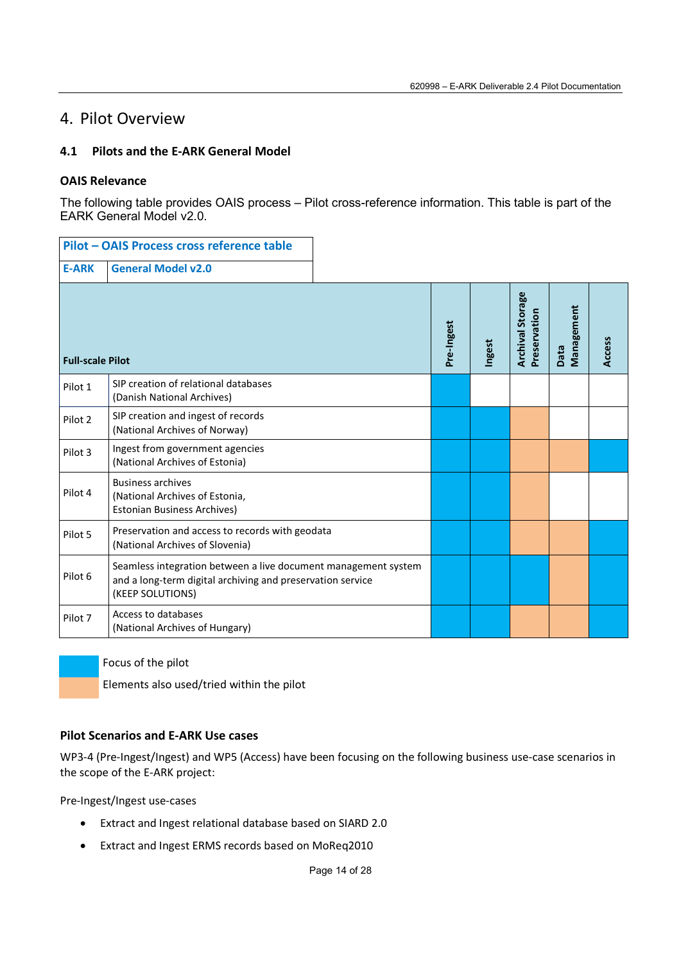# 4. Pilot Overview

## **4.1 Pilots and the E-ARK General Model**

## **OAIS Relevance**

The following table provides OAIS process – Pilot cross-reference information. This table is part of the EARK General Model v2.0.

|                         | Pilot - OAIS Process cross reference table                                                                                                       |            |        |                                         |                    |               |
|-------------------------|--------------------------------------------------------------------------------------------------------------------------------------------------|------------|--------|-----------------------------------------|--------------------|---------------|
| <b>E-ARK</b>            | <b>General Model v2.0</b>                                                                                                                        |            |        |                                         |                    |               |
| <b>Full-scale Pilot</b> |                                                                                                                                                  | Pre-Ingest | Ingest | <b>Archival Storage</b><br>Preservation | Management<br>Data | <b>Access</b> |
| Pilot 1                 | SIP creation of relational databases<br>(Danish National Archives)                                                                               |            |        |                                         |                    |               |
| Pilot <sub>2</sub>      | SIP creation and ingest of records<br>(National Archives of Norway)                                                                              |            |        |                                         |                    |               |
| Pilot 3                 | Ingest from government agencies<br>(National Archives of Estonia)                                                                                |            |        |                                         |                    |               |
| Pilot 4                 | <b>Business archives</b><br>(National Archives of Estonia,<br><b>Estonian Business Archives)</b>                                                 |            |        |                                         |                    |               |
| Pilot 5                 | Preservation and access to records with geodata<br>(National Archives of Slovenia)                                                               |            |        |                                         |                    |               |
| Pilot <sub>6</sub>      | Seamless integration between a live document management system<br>and a long-term digital archiving and preservation service<br>(KEEP SOLUTIONS) |            |        |                                         |                    |               |
| Pilot 7                 | Access to databases<br>(National Archives of Hungary)                                                                                            |            |        |                                         |                    |               |

Focus of the pilot

Elements also used/tried within the pilot

## **Pilot Scenarios and E-ARK Use cases**

WP3-4 (Pre-Ingest/Ingest) and WP5 (Access) have been focusing on the following business use-case scenarios in the scope of the E-ARK project:

Pre-Ingest/Ingest use-cases

- Extract and Ingest relational database based on SIARD 2.0
- Extract and Ingest ERMS records based on MoReq2010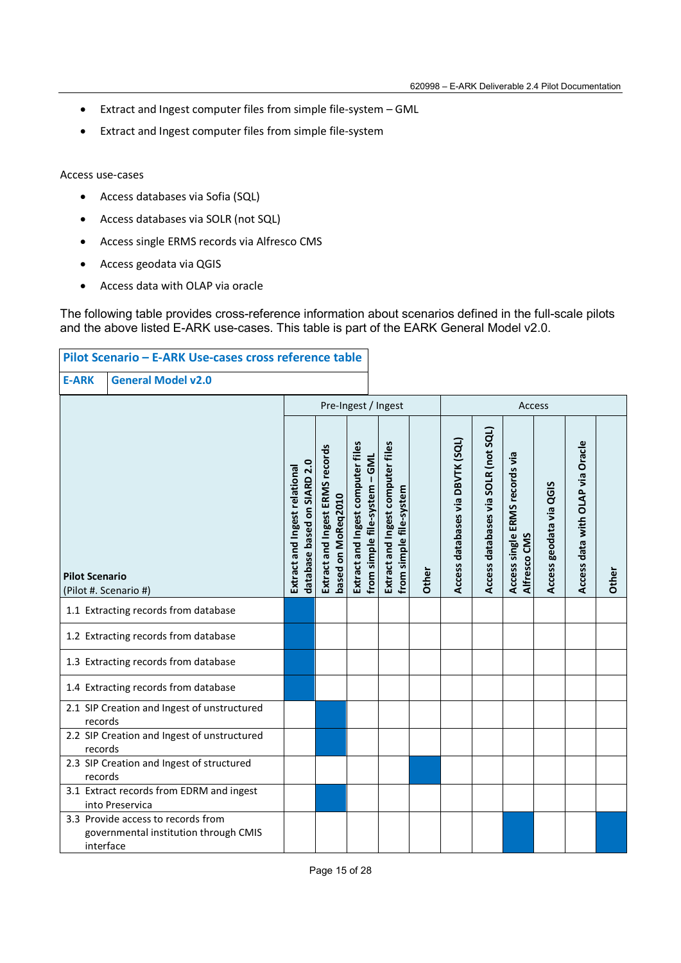- Extract and Ingest computer files from simple file-system GML
- Extract and Ingest computer files from simple file-system

### Access use-cases

- Access databases via Sofia (SQL)
- Access databases via SOLR (not SQL)
- Access single ERMS records via Alfresco CMS
- Access geodata via QGIS
- Access data with OLAP via oracle

The following table provides cross-reference information about scenarios defined in the full-scale pilots and the above listed E-ARK use-cases. This table is part of the EARK General Model v2.0.

|                                                      | Pilot Scenario - E-ARK Use-cases cross reference table                      |                                                              |                                                       |                                                                    |                                                              |       |                                  |                                     |                                                |                            |                                  |       |
|------------------------------------------------------|-----------------------------------------------------------------------------|--------------------------------------------------------------|-------------------------------------------------------|--------------------------------------------------------------------|--------------------------------------------------------------|-------|----------------------------------|-------------------------------------|------------------------------------------------|----------------------------|----------------------------------|-------|
| <b>General Model v2.0</b><br><b>E-ARK</b>            |                                                                             |                                                              |                                                       |                                                                    |                                                              |       |                                  |                                     |                                                |                            |                                  |       |
|                                                      |                                                                             |                                                              |                                                       | Pre-Ingest / Ingest                                                |                                                              |       |                                  |                                     | Access                                         |                            |                                  |       |
| <b>Pilot Scenario</b><br>(Pilot #. Scenario #)       |                                                                             | database based on SIARD 2.0<br>Extract and Ingest relational | Extract and Ingest ERMS records<br>based on MoReq2010 | Extract and Ingest computer files<br>from simple file-system - GML | Extract and Ingest computer files<br>from simple file-system | Other | Access databases via DBVTK (SQL) | Access databases via SOLR (not SQL) | Access single ERMS records via<br>Alfresco CMS | geodata via QGIS<br>Access | Access data with OLAP via Oracle | Other |
| 1.1 Extracting records from database                 |                                                                             |                                                              |                                                       |                                                                    |                                                              |       |                                  |                                     |                                                |                            |                                  |       |
|                                                      | 1.2 Extracting records from database                                        |                                                              |                                                       |                                                                    |                                                              |       |                                  |                                     |                                                |                            |                                  |       |
|                                                      | 1.3 Extracting records from database                                        |                                                              |                                                       |                                                                    |                                                              |       |                                  |                                     |                                                |                            |                                  |       |
|                                                      | 1.4 Extracting records from database                                        |                                                              |                                                       |                                                                    |                                                              |       |                                  |                                     |                                                |                            |                                  |       |
| records                                              | 2.1 SIP Creation and Ingest of unstructured                                 |                                                              |                                                       |                                                                    |                                                              |       |                                  |                                     |                                                |                            |                                  |       |
| records                                              | 2.2 SIP Creation and Ingest of unstructured                                 |                                                              |                                                       |                                                                    |                                                              |       |                                  |                                     |                                                |                            |                                  |       |
| 2.3 SIP Creation and Ingest of structured<br>records |                                                                             |                                                              |                                                       |                                                                    |                                                              |       |                                  |                                     |                                                |                            |                                  |       |
|                                                      | 3.1 Extract records from EDRM and ingest<br>into Preservica                 |                                                              |                                                       |                                                                    |                                                              |       |                                  |                                     |                                                |                            |                                  |       |
| interface                                            | 3.3 Provide access to records from<br>governmental institution through CMIS |                                                              |                                                       |                                                                    |                                                              |       |                                  |                                     |                                                |                            |                                  |       |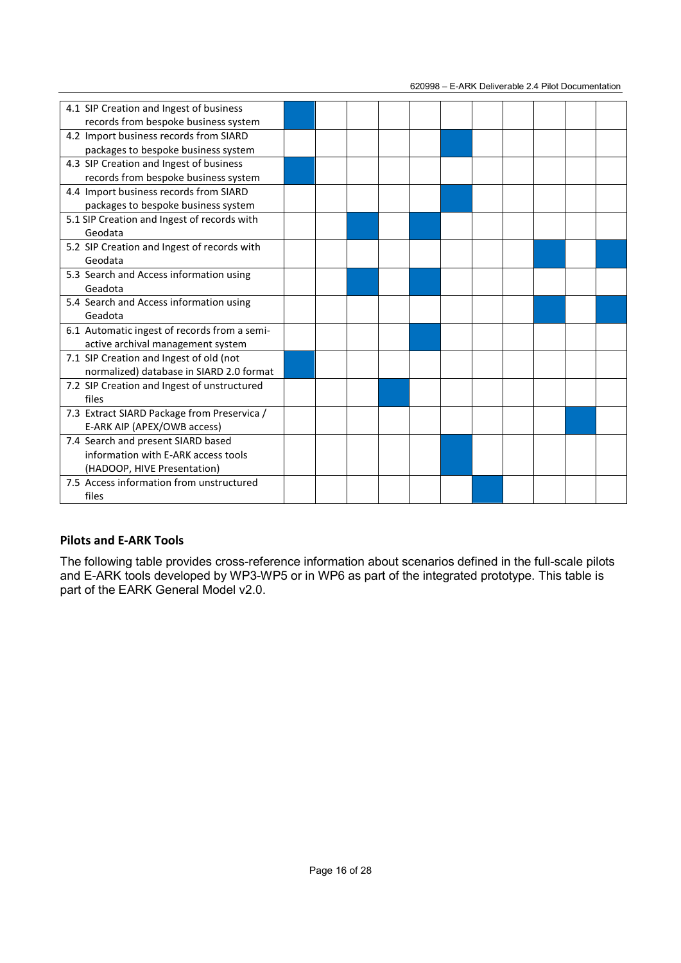620998 – E-ARK Deliverable 2.4 Pilot Documentation

| 4.1 SIP Creation and Ingest of business      |  |  |  |  |  |  |
|----------------------------------------------|--|--|--|--|--|--|
| records from bespoke business system         |  |  |  |  |  |  |
| 4.2 Import business records from SIARD       |  |  |  |  |  |  |
| packages to bespoke business system          |  |  |  |  |  |  |
| 4.3 SIP Creation and Ingest of business      |  |  |  |  |  |  |
| records from bespoke business system         |  |  |  |  |  |  |
| 4.4 Import business records from SIARD       |  |  |  |  |  |  |
| packages to bespoke business system          |  |  |  |  |  |  |
| 5.1 SIP Creation and Ingest of records with  |  |  |  |  |  |  |
| Geodata                                      |  |  |  |  |  |  |
| 5.2 SIP Creation and Ingest of records with  |  |  |  |  |  |  |
| Geodata                                      |  |  |  |  |  |  |
| 5.3 Search and Access information using      |  |  |  |  |  |  |
| Geadota                                      |  |  |  |  |  |  |
| 5.4 Search and Access information using      |  |  |  |  |  |  |
| Geadota                                      |  |  |  |  |  |  |
| 6.1 Automatic ingest of records from a semi- |  |  |  |  |  |  |
| active archival management system            |  |  |  |  |  |  |
| 7.1 SIP Creation and Ingest of old (not      |  |  |  |  |  |  |
| normalized) database in SIARD 2.0 format     |  |  |  |  |  |  |
| 7.2 SIP Creation and Ingest of unstructured  |  |  |  |  |  |  |
| files                                        |  |  |  |  |  |  |
| 7.3 Extract SIARD Package from Preservica /  |  |  |  |  |  |  |
| E-ARK AIP (APEX/OWB access)                  |  |  |  |  |  |  |
| 7.4 Search and present SIARD based           |  |  |  |  |  |  |
| information with E-ARK access tools          |  |  |  |  |  |  |
| (HADOOP, HIVE Presentation)                  |  |  |  |  |  |  |
| 7.5 Access information from unstructured     |  |  |  |  |  |  |
| files                                        |  |  |  |  |  |  |

## **Pilots and E-ARK Tools**

The following table provides cross-reference information about scenarios defined in the full-scale pilots and E-ARK tools developed by WP3-WP5 or in WP6 as part of the integrated prototype. This table is part of the EARK General Model v2.0.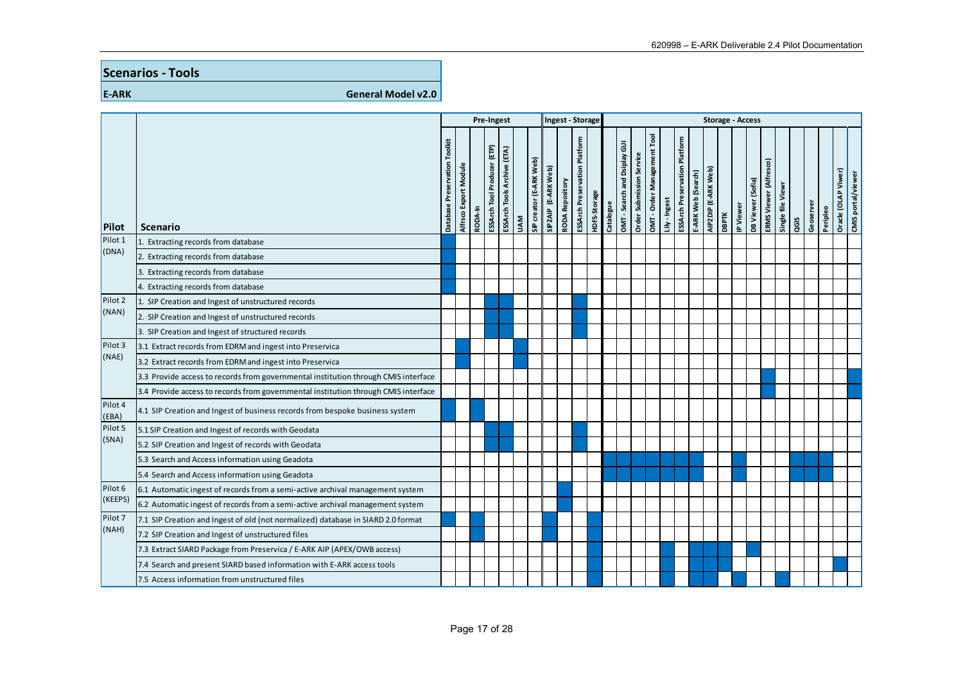## **Scenarios - Tools**

**E-ARK General Model v2.0** 

|                    |                                                                                    | Pre-Ingest                       |                       | Ingest - Storage |                             |                             |            |                         |                     |                        | <b>Storage - Access</b>              |              |           |                              |                             |                           |               |                                      |                    |                     |              |           |                   |                        |                   |      |           |          |                    |                    |
|--------------------|------------------------------------------------------------------------------------|----------------------------------|-----------------------|------------------|-----------------------------|-----------------------------|------------|-------------------------|---------------------|------------------------|--------------------------------------|--------------|-----------|------------------------------|-----------------------------|---------------------------|---------------|--------------------------------------|--------------------|---------------------|--------------|-----------|-------------------|------------------------|-------------------|------|-----------|----------|--------------------|--------------------|
| Pilot              | <b>Scenario</b>                                                                    | Toolkit<br>Database Preservation | Alfrsco Export Module | RODA-In          | ESSArch Tool Producer (ETP) | ESSArch Tools Archive (ETA) | <b>NVN</b> | SIP creator (E-ARK Web) | SIP2AIP (E-ARK Web) | <b>RODA Repository</b> | <b>ESSArch Preservation Platform</b> | HDFS-Storage | Catalogue | OMT - Search and Dsiplay GUI | Service<br>Order Submission | OMT-Order Management Tool | Lily - Ingest | <b>ESSArch Preservation Platform</b> | E-ARK Web (Search) | AIP2DIP (E-ARK Web) | <b>DBPTK</b> | IP Viewer | DB Viewer (Sofia) | ERMS Viewer (Alfresco) | Single file Viewr | QGIS | Geoserver | Peripleo | Orade (OLAP Viwer) | CMIS portal/viewer |
| Pilot 1            | Extracting records from database                                                   |                                  |                       |                  |                             |                             |            |                         |                     |                        |                                      |              |           |                              |                             |                           |               |                                      |                    |                     |              |           |                   |                        |                   |      |           |          |                    |                    |
| (DNA)              | Extracting records from database                                                   |                                  |                       |                  |                             |                             |            |                         |                     |                        |                                      |              |           |                              |                             |                           |               |                                      |                    |                     |              |           |                   |                        |                   |      |           |          |                    |                    |
|                    | Extracting records from database                                                   |                                  |                       |                  |                             |                             |            |                         |                     |                        |                                      |              |           |                              |                             |                           |               |                                      |                    |                     |              |           |                   |                        |                   |      |           |          |                    |                    |
|                    | 4. Extracting records from database                                                |                                  |                       |                  |                             |                             |            |                         |                     |                        |                                      |              |           |                              |                             |                           |               |                                      |                    |                     |              |           |                   |                        |                   |      |           |          |                    |                    |
| Pilot <sub>2</sub> | 1. SIP Creation and Ingest of unstructured records                                 |                                  |                       |                  |                             |                             |            |                         |                     |                        |                                      |              |           |                              |                             |                           |               |                                      |                    |                     |              |           |                   |                        |                   |      |           |          |                    |                    |
| (NAN)              | 2. SIP Creation and Ingest of unstructured records                                 |                                  |                       |                  |                             |                             |            |                         |                     |                        |                                      |              |           |                              |                             |                           |               |                                      |                    |                     |              |           |                   |                        |                   |      |           |          |                    |                    |
|                    | 3. SIP Creation and Ingest of structured records                                   |                                  |                       |                  |                             |                             |            |                         |                     |                        |                                      |              |           |                              |                             |                           |               |                                      |                    |                     |              |           |                   |                        |                   |      |           |          |                    |                    |
| Pilot 3            | 3.1 Extract records from EDRM and ingest into Preservica                           |                                  |                       |                  |                             |                             |            |                         |                     |                        |                                      |              |           |                              |                             |                           |               |                                      |                    |                     |              |           |                   |                        |                   |      |           |          |                    |                    |
| (NAE)              | 3.2 Extract records from EDRM and ingest into Preservica                           |                                  |                       |                  |                             |                             |            |                         |                     |                        |                                      |              |           |                              |                             |                           |               |                                      |                    |                     |              |           |                   |                        |                   |      |           |          |                    |                    |
|                    | 3.3 Provide access to records from governmental institution through CMIS interface |                                  |                       |                  |                             |                             |            |                         |                     |                        |                                      |              |           |                              |                             |                           |               |                                      |                    |                     |              |           |                   |                        |                   |      |           |          |                    |                    |
|                    | 3.4 Provide access to records from governmental institution through CMIS interface |                                  |                       |                  |                             |                             |            |                         |                     |                        |                                      |              |           |                              |                             |                           |               |                                      |                    |                     |              |           |                   |                        |                   |      |           |          |                    |                    |
| Pilot 4<br>(EBA)   | 4.1 SIP Creation and Ingest of business records from bespoke business system       |                                  |                       |                  |                             |                             |            |                         |                     |                        |                                      |              |           |                              |                             |                           |               |                                      |                    |                     |              |           |                   |                        |                   |      |           |          |                    |                    |
| Pilot 5            | 5.1 SIP Creation and Ingest of records with Geodata                                |                                  |                       |                  |                             |                             |            |                         |                     |                        |                                      |              |           |                              |                             |                           |               |                                      |                    |                     |              |           |                   |                        |                   |      |           |          |                    |                    |
| (SNA)              | 5.2 SIP Creation and Ingest of records with Geodata                                |                                  |                       |                  |                             |                             |            |                         |                     |                        |                                      |              |           |                              |                             |                           |               |                                      |                    |                     |              |           |                   |                        |                   |      |           |          |                    |                    |
|                    | 5.3 Search and Access information using Geadota                                    |                                  |                       |                  |                             |                             |            |                         |                     |                        |                                      |              |           |                              |                             |                           |               |                                      |                    |                     |              |           |                   |                        |                   |      |           |          |                    |                    |
|                    | 5.4 Search and Access information using Geadota                                    |                                  |                       |                  |                             |                             |            |                         |                     |                        |                                      |              |           |                              |                             |                           |               |                                      |                    |                     |              |           |                   |                        |                   |      |           |          |                    |                    |
| Pilot <sub>6</sub> | 6.1 Automatic ingest of records from a semi-active archival management system      |                                  |                       |                  |                             |                             |            |                         |                     |                        |                                      |              |           |                              |                             |                           |               |                                      |                    |                     |              |           |                   |                        |                   |      |           |          |                    |                    |
| (KEEPS)            | 6.2 Automatic ingest of records from a semi-active archival management system      |                                  |                       |                  |                             |                             |            |                         |                     |                        |                                      |              |           |                              |                             |                           |               |                                      |                    |                     |              |           |                   |                        |                   |      |           |          |                    |                    |
| Pilot <sub>7</sub> | 7.1 SIP Creation and Ingest of old (not normalized) database in SIARD 2.0 format   |                                  |                       |                  |                             |                             |            |                         |                     |                        |                                      |              |           |                              |                             |                           |               |                                      |                    |                     |              |           |                   |                        |                   |      |           |          |                    |                    |
| (NAH)              | 7.2 SIP Creation and Ingest of unstructured files                                  |                                  |                       |                  |                             |                             |            |                         |                     |                        |                                      |              |           |                              |                             |                           |               |                                      |                    |                     |              |           |                   |                        |                   |      |           |          |                    |                    |
|                    | 7.3 Extract SIARD Package from Preservica / E-ARK AIP (APEX/OWB access)            |                                  |                       |                  |                             |                             |            |                         |                     |                        |                                      |              |           |                              |                             |                           |               |                                      |                    |                     |              |           |                   |                        |                   |      |           |          |                    |                    |
|                    | 7.4 Search and present SIARD based information with E-ARK access tools             |                                  |                       |                  |                             |                             |            |                         |                     |                        |                                      |              |           |                              |                             |                           |               |                                      |                    |                     |              |           |                   |                        |                   |      |           |          |                    |                    |
|                    | 7.5 Access information from unstructured files                                     |                                  |                       |                  |                             |                             |            |                         |                     |                        |                                      |              |           |                              |                             |                           |               |                                      |                    |                     |              |           |                   |                        |                   |      |           |          |                    |                    |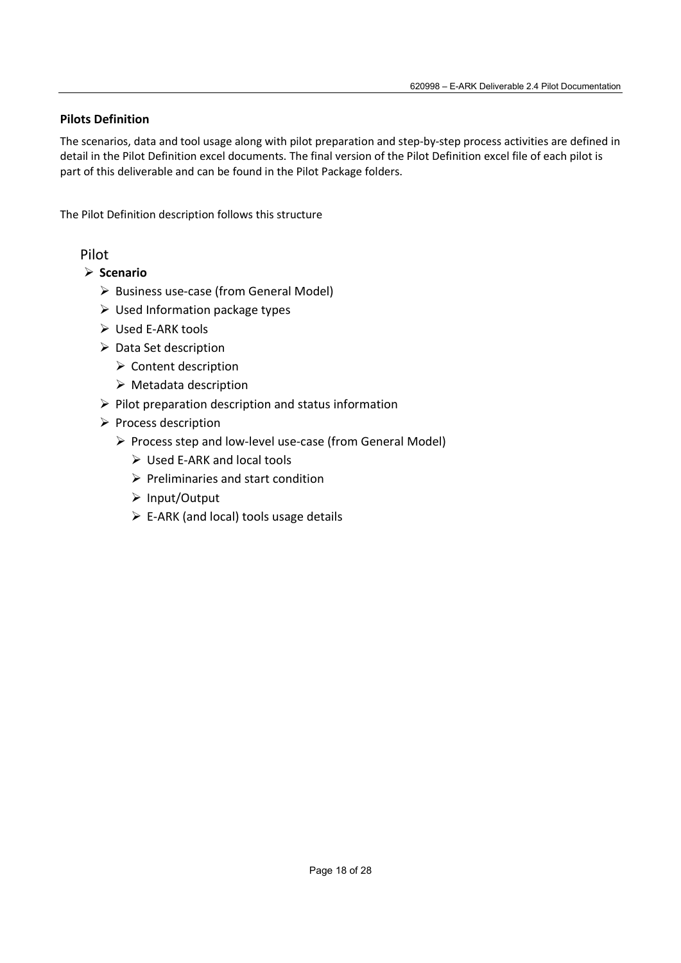## **Pilots Definition**

The scenarios, data and tool usage along with pilot preparation and step-by-step process activities are defined in detail in the Pilot Definition excel documents. The final version of the Pilot Definition excel file of each pilot is part of this deliverable and can be found in the Pilot Package folders.

The Pilot Definition description follows this structure

- **Scenario**
	- $\triangleright$  Business use-case (from General Model)
	- $\triangleright$  Used Information package types
	- Used E-ARK tools
	- $\triangleright$  Data Set description
		- $\triangleright$  Content description
		- $\triangleright$  Metadata description
	- $\triangleright$  Pilot preparation description and status information
	- $\triangleright$  Process description
		- Process step and low-level use-case (from General Model)
			- Used E-ARK and local tools
			- $\triangleright$  Preliminaries and start condition
			- Input/Output
			- $\triangleright$  E-ARK (and local) tools usage details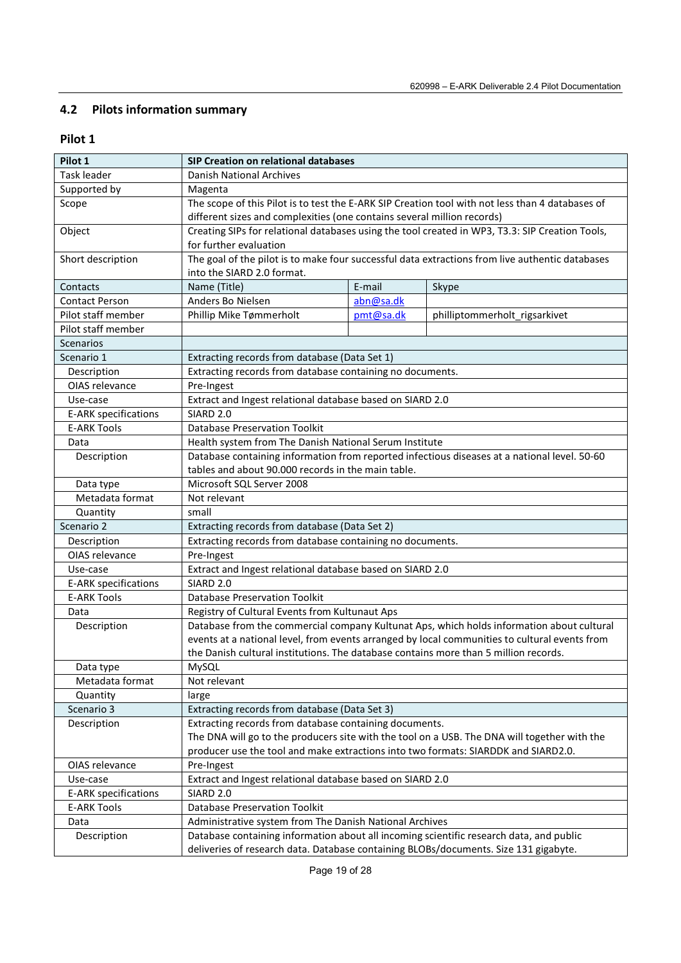# **4.2 Pilots information summary**

| Pilot 1                     | SIP Creation on relational databases                                                            |                                                                                                 |                                                                                                  |  |  |  |  |  |  |
|-----------------------------|-------------------------------------------------------------------------------------------------|-------------------------------------------------------------------------------------------------|--------------------------------------------------------------------------------------------------|--|--|--|--|--|--|
| Task leader                 | Danish National Archives                                                                        |                                                                                                 |                                                                                                  |  |  |  |  |  |  |
| Supported by                | Magenta                                                                                         |                                                                                                 |                                                                                                  |  |  |  |  |  |  |
| Scope                       |                                                                                                 |                                                                                                 | The scope of this Pilot is to test the E-ARK SIP Creation tool with not less than 4 databases of |  |  |  |  |  |  |
|                             |                                                                                                 | different sizes and complexities (one contains several million records)                         |                                                                                                  |  |  |  |  |  |  |
| Object                      |                                                                                                 | Creating SIPs for relational databases using the tool created in WP3, T3.3: SIP Creation Tools, |                                                                                                  |  |  |  |  |  |  |
|                             | for further evaluation                                                                          |                                                                                                 |                                                                                                  |  |  |  |  |  |  |
| Short description           | The goal of the pilot is to make four successful data extractions from live authentic databases |                                                                                                 |                                                                                                  |  |  |  |  |  |  |
|                             | into the SIARD 2.0 format.                                                                      |                                                                                                 |                                                                                                  |  |  |  |  |  |  |
| Contacts                    | Name (Title)                                                                                    | E-mail                                                                                          | Skype                                                                                            |  |  |  |  |  |  |
| <b>Contact Person</b>       | Anders Bo Nielsen                                                                               | abn@sa.dk                                                                                       |                                                                                                  |  |  |  |  |  |  |
| Pilot staff member          | Phillip Mike Tømmerholt                                                                         | pmt@sa.dk                                                                                       | philliptommerholt_rigsarkivet                                                                    |  |  |  |  |  |  |
| Pilot staff member          |                                                                                                 |                                                                                                 |                                                                                                  |  |  |  |  |  |  |
| <b>Scenarios</b>            |                                                                                                 |                                                                                                 |                                                                                                  |  |  |  |  |  |  |
| Scenario 1                  | Extracting records from database (Data Set 1)                                                   |                                                                                                 |                                                                                                  |  |  |  |  |  |  |
| Description                 | Extracting records from database containing no documents.                                       |                                                                                                 |                                                                                                  |  |  |  |  |  |  |
| OIAS relevance              | Pre-Ingest                                                                                      |                                                                                                 |                                                                                                  |  |  |  |  |  |  |
| Use-case                    | Extract and Ingest relational database based on SIARD 2.0                                       |                                                                                                 |                                                                                                  |  |  |  |  |  |  |
| <b>E-ARK specifications</b> | <b>SIARD 2.0</b>                                                                                |                                                                                                 |                                                                                                  |  |  |  |  |  |  |
| <b>E-ARK Tools</b>          | <b>Database Preservation Toolkit</b>                                                            |                                                                                                 |                                                                                                  |  |  |  |  |  |  |
| Data                        | Health system from The Danish National Serum Institute                                          |                                                                                                 |                                                                                                  |  |  |  |  |  |  |
| Description                 |                                                                                                 | Database containing information from reported infectious diseases at a national level. 50-60    |                                                                                                  |  |  |  |  |  |  |
|                             | tables and about 90.000 records in the main table.                                              |                                                                                                 |                                                                                                  |  |  |  |  |  |  |
| Data type                   | Microsoft SQL Server 2008                                                                       |                                                                                                 |                                                                                                  |  |  |  |  |  |  |
| Metadata format             | Not relevant                                                                                    |                                                                                                 |                                                                                                  |  |  |  |  |  |  |
| Quantity                    | small                                                                                           |                                                                                                 |                                                                                                  |  |  |  |  |  |  |
| Scenario 2                  | Extracting records from database (Data Set 2)                                                   |                                                                                                 |                                                                                                  |  |  |  |  |  |  |
| Description                 | Extracting records from database containing no documents.                                       |                                                                                                 |                                                                                                  |  |  |  |  |  |  |
| OIAS relevance              | Pre-Ingest                                                                                      |                                                                                                 |                                                                                                  |  |  |  |  |  |  |
| Use-case                    | Extract and Ingest relational database based on SIARD 2.0                                       |                                                                                                 |                                                                                                  |  |  |  |  |  |  |
| <b>E-ARK specifications</b> | SIARD <sub>2.0</sub>                                                                            |                                                                                                 |                                                                                                  |  |  |  |  |  |  |
| <b>E-ARK Tools</b>          | <b>Database Preservation Toolkit</b>                                                            |                                                                                                 |                                                                                                  |  |  |  |  |  |  |
| Data                        | Registry of Cultural Events from Kultunaut Aps                                                  |                                                                                                 |                                                                                                  |  |  |  |  |  |  |
| Description                 |                                                                                                 |                                                                                                 | Database from the commercial company Kultunat Aps, which holds information about cultural        |  |  |  |  |  |  |
|                             |                                                                                                 |                                                                                                 | events at a national level, from events arranged by local communities to cultural events from    |  |  |  |  |  |  |
|                             | the Danish cultural institutions. The database contains more than 5 million records.            |                                                                                                 |                                                                                                  |  |  |  |  |  |  |
| Data type                   | MySQL                                                                                           |                                                                                                 |                                                                                                  |  |  |  |  |  |  |
| Metadata format             | Not relevant                                                                                    |                                                                                                 |                                                                                                  |  |  |  |  |  |  |
| Quantity                    | large                                                                                           |                                                                                                 |                                                                                                  |  |  |  |  |  |  |
| Scenario 3                  | Extracting records from database (Data Set 3)                                                   |                                                                                                 |                                                                                                  |  |  |  |  |  |  |
| Description                 | Extracting records from database containing documents.                                          |                                                                                                 |                                                                                                  |  |  |  |  |  |  |
|                             |                                                                                                 |                                                                                                 | The DNA will go to the producers site with the tool on a USB. The DNA will together with the     |  |  |  |  |  |  |
|                             | producer use the tool and make extractions into two formats: SIARDDK and SIARD2.0.              |                                                                                                 |                                                                                                  |  |  |  |  |  |  |
| OIAS relevance              | Pre-Ingest                                                                                      |                                                                                                 |                                                                                                  |  |  |  |  |  |  |
| Use-case                    | Extract and Ingest relational database based on SIARD 2.0                                       |                                                                                                 |                                                                                                  |  |  |  |  |  |  |
| E-ARK specifications        | SIARD <sub>2.0</sub>                                                                            |                                                                                                 |                                                                                                  |  |  |  |  |  |  |
| <b>E-ARK Tools</b>          | <b>Database Preservation Toolkit</b>                                                            |                                                                                                 |                                                                                                  |  |  |  |  |  |  |
| Data                        | Administrative system from The Danish National Archives                                         |                                                                                                 |                                                                                                  |  |  |  |  |  |  |
| Description                 | Database containing information about all incoming scientific research data, and public         |                                                                                                 |                                                                                                  |  |  |  |  |  |  |
|                             | deliveries of research data. Database containing BLOBs/documents. Size 131 gigabyte.            |                                                                                                 |                                                                                                  |  |  |  |  |  |  |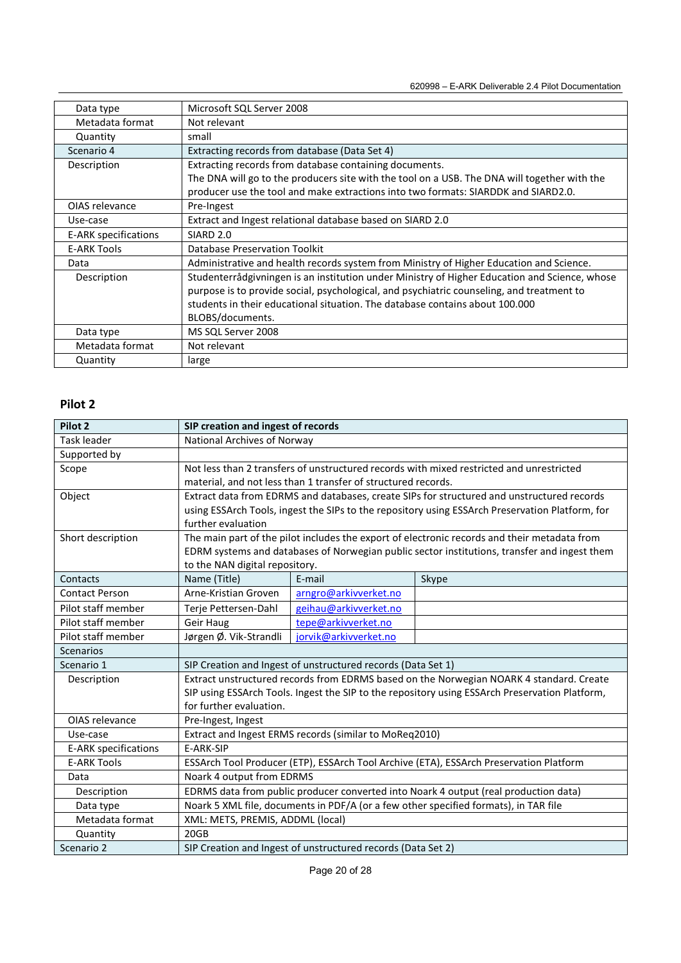| Data type            | Microsoft SQL Server 2008                                                                                                                                                                                                                                                  |
|----------------------|----------------------------------------------------------------------------------------------------------------------------------------------------------------------------------------------------------------------------------------------------------------------------|
| Metadata format      | Not relevant                                                                                                                                                                                                                                                               |
| Quantity             | small                                                                                                                                                                                                                                                                      |
| Scenario 4           | Extracting records from database (Data Set 4)                                                                                                                                                                                                                              |
| Description          | Extracting records from database containing documents.                                                                                                                                                                                                                     |
|                      | The DNA will go to the producers site with the tool on a USB. The DNA will together with the                                                                                                                                                                               |
|                      | producer use the tool and make extractions into two formats: SIARDDK and SIARD2.0.                                                                                                                                                                                         |
| OIAS relevance       | Pre-Ingest                                                                                                                                                                                                                                                                 |
| Use-case             | Extract and Ingest relational database based on SIARD 2.0                                                                                                                                                                                                                  |
| E-ARK specifications | SIARD <sub>2.0</sub>                                                                                                                                                                                                                                                       |
| <b>E-ARK Tools</b>   | Database Preservation Toolkit                                                                                                                                                                                                                                              |
| Data                 | Administrative and health records system from Ministry of Higher Education and Science.                                                                                                                                                                                    |
| Description          | Studenterrådgivningen is an institution under Ministry of Higher Education and Science, whose<br>purpose is to provide social, psychological, and psychiatric counseling, and treatment to<br>students in their educational situation. The database contains about 100,000 |
|                      | BLOBS/documents.                                                                                                                                                                                                                                                           |
| Data type            | MS SQL Server 2008                                                                                                                                                                                                                                                         |
| Metadata format      | Not relevant                                                                                                                                                                                                                                                               |
| Quantity             | large                                                                                                                                                                                                                                                                      |

| Pilot 2                     | SIP creation and ingest of records                                                              |                                                                                            |                                                                                                |  |  |  |  |  |
|-----------------------------|-------------------------------------------------------------------------------------------------|--------------------------------------------------------------------------------------------|------------------------------------------------------------------------------------------------|--|--|--|--|--|
| Task leader                 |                                                                                                 | National Archives of Norway                                                                |                                                                                                |  |  |  |  |  |
| Supported by                |                                                                                                 |                                                                                            |                                                                                                |  |  |  |  |  |
| Scope                       |                                                                                                 | Not less than 2 transfers of unstructured records with mixed restricted and unrestricted   |                                                                                                |  |  |  |  |  |
|                             |                                                                                                 | material, and not less than 1 transfer of structured records.                              |                                                                                                |  |  |  |  |  |
| Object                      |                                                                                                 | Extract data from EDRMS and databases, create SIPs for structured and unstructured records |                                                                                                |  |  |  |  |  |
|                             | using ESSArch Tools, ingest the SIPs to the repository using ESSArch Preservation Platform, for |                                                                                            |                                                                                                |  |  |  |  |  |
|                             | further evaluation                                                                              |                                                                                            |                                                                                                |  |  |  |  |  |
| Short description           |                                                                                                 |                                                                                            | The main part of the pilot includes the export of electronic records and their metadata from   |  |  |  |  |  |
|                             |                                                                                                 |                                                                                            | EDRM systems and databases of Norwegian public sector institutions, transfer and ingest them   |  |  |  |  |  |
|                             | to the NAN digital repository.                                                                  |                                                                                            |                                                                                                |  |  |  |  |  |
| Contacts                    | Name (Title)                                                                                    | F-mail                                                                                     | Skype                                                                                          |  |  |  |  |  |
| <b>Contact Person</b>       | Arne-Kristian Groven                                                                            | arngro@arkivverket.no                                                                      |                                                                                                |  |  |  |  |  |
| Pilot staff member          | Terje Pettersen-Dahl                                                                            | geihau@arkivverket.no                                                                      |                                                                                                |  |  |  |  |  |
| Pilot staff member          | Geir Haug                                                                                       | tepe@arkivverket.no                                                                        |                                                                                                |  |  |  |  |  |
| Pilot staff member          | Jørgen Ø. Vik-Strandli                                                                          | jorvik@arkivverket.no                                                                      |                                                                                                |  |  |  |  |  |
| <b>Scenarios</b>            |                                                                                                 |                                                                                            |                                                                                                |  |  |  |  |  |
| Scenario 1                  |                                                                                                 | SIP Creation and Ingest of unstructured records (Data Set 1)                               |                                                                                                |  |  |  |  |  |
| Description                 |                                                                                                 |                                                                                            | Extract unstructured records from EDRMS based on the Norwegian NOARK 4 standard. Create        |  |  |  |  |  |
|                             |                                                                                                 |                                                                                            | SIP using ESSArch Tools. Ingest the SIP to the repository using ESSArch Preservation Platform, |  |  |  |  |  |
|                             | for further evaluation.                                                                         |                                                                                            |                                                                                                |  |  |  |  |  |
| OIAS relevance              | Pre-Ingest, Ingest                                                                              |                                                                                            |                                                                                                |  |  |  |  |  |
| Use-case                    |                                                                                                 | Extract and Ingest ERMS records (similar to MoReq2010)                                     |                                                                                                |  |  |  |  |  |
| <b>E-ARK specifications</b> | E-ARK-SIP                                                                                       |                                                                                            |                                                                                                |  |  |  |  |  |
| <b>E-ARK Tools</b>          |                                                                                                 |                                                                                            | ESSArch Tool Producer (ETP), ESSArch Tool Archive (ETA), ESSArch Preservation Platform         |  |  |  |  |  |
| Data                        | Noark 4 output from EDRMS                                                                       |                                                                                            |                                                                                                |  |  |  |  |  |
| Description                 |                                                                                                 |                                                                                            | EDRMS data from public producer converted into Noark 4 output (real production data)           |  |  |  |  |  |
| Data type                   |                                                                                                 |                                                                                            | Noark 5 XML file, documents in PDF/A (or a few other specified formats), in TAR file           |  |  |  |  |  |
| Metadata format             | XML: METS, PREMIS, ADDML (local)                                                                |                                                                                            |                                                                                                |  |  |  |  |  |
| Quantity                    | 20GB                                                                                            |                                                                                            |                                                                                                |  |  |  |  |  |
| Scenario 2                  | SIP Creation and Ingest of unstructured records (Data Set 2)                                    |                                                                                            |                                                                                                |  |  |  |  |  |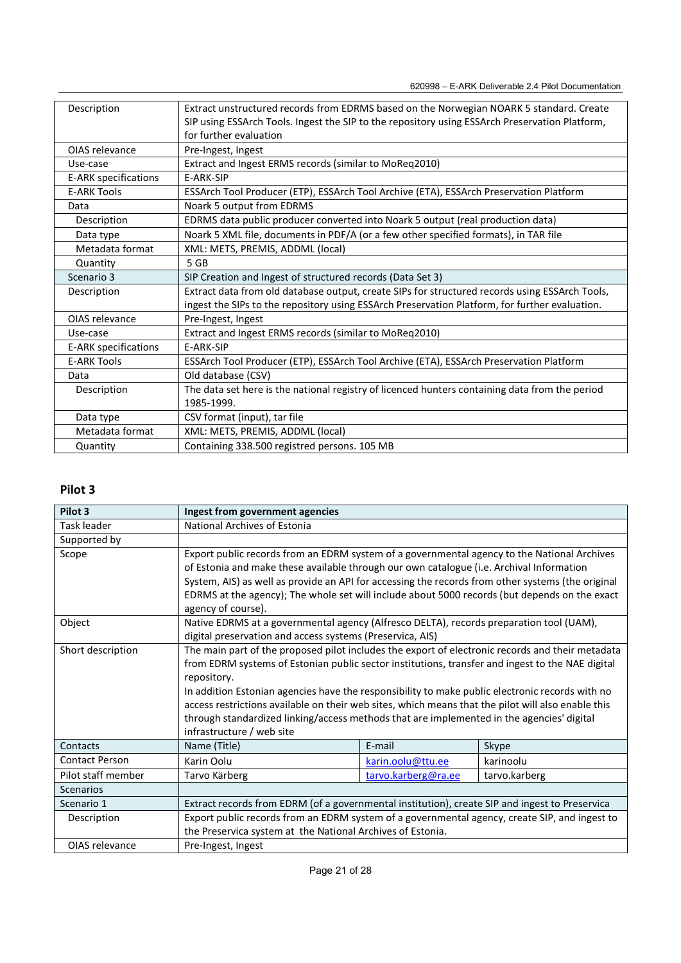| Description                 | Extract unstructured records from EDRMS based on the Norwegian NOARK 5 standard. Create        |
|-----------------------------|------------------------------------------------------------------------------------------------|
|                             | SIP using ESSArch Tools. Ingest the SIP to the repository using ESSArch Preservation Platform, |
|                             | for further evaluation                                                                         |
| OIAS relevance              | Pre-Ingest, Ingest                                                                             |
| Use-case                    | Extract and Ingest ERMS records (similar to MoReq2010)                                         |
| E-ARK specifications        | E-ARK-SIP                                                                                      |
| <b>E-ARK Tools</b>          | ESSArch Tool Producer (ETP), ESSArch Tool Archive (ETA), ESSArch Preservation Platform         |
| Data                        | Noark 5 output from EDRMS                                                                      |
| Description                 | EDRMS data public producer converted into Noark 5 output (real production data)                |
| Data type                   | Noark 5 XML file, documents in PDF/A (or a few other specified formats), in TAR file           |
| Metadata format             | XML: METS, PREMIS, ADDML (local)                                                               |
| Quantity                    | 5 <sub>GB</sub>                                                                                |
| Scenario 3                  | SIP Creation and Ingest of structured records (Data Set 3)                                     |
| Description                 | Extract data from old database output, create SIPs for structured records using ESSArch Tools, |
|                             | ingest the SIPs to the repository using ESSArch Preservation Platform, for further evaluation. |
| OIAS relevance              | Pre-Ingest, Ingest                                                                             |
| Use-case                    | Extract and Ingest ERMS records (similar to MoReq2010)                                         |
| <b>E-ARK specifications</b> | E-ARK-SIP                                                                                      |
| <b>E-ARK Tools</b>          | ESSArch Tool Producer (ETP), ESSArch Tool Archive (ETA), ESSArch Preservation Platform         |
| Data                        | Old database (CSV)                                                                             |
| Description                 | The data set here is the national registry of licenced hunters containing data from the period |
|                             | 1985-1999.                                                                                     |
| Data type                   | CSV format (input), tar file                                                                   |
| Metadata format             | XML: METS, PREMIS, ADDML (local)                                                               |
| Quantity                    | Containing 338.500 registred persons. 105 MB                                                   |

| Pilot 3               | Ingest from government agencies                                                                                                                                                                                                                                                                                                                                                                                                                                                                                                                        |                                                                                                                                                                                                                                                                                                                                                                                               |               |  |  |  |  |  |  |  |
|-----------------------|--------------------------------------------------------------------------------------------------------------------------------------------------------------------------------------------------------------------------------------------------------------------------------------------------------------------------------------------------------------------------------------------------------------------------------------------------------------------------------------------------------------------------------------------------------|-----------------------------------------------------------------------------------------------------------------------------------------------------------------------------------------------------------------------------------------------------------------------------------------------------------------------------------------------------------------------------------------------|---------------|--|--|--|--|--|--|--|
| Task leader           | National Archives of Estonia                                                                                                                                                                                                                                                                                                                                                                                                                                                                                                                           |                                                                                                                                                                                                                                                                                                                                                                                               |               |  |  |  |  |  |  |  |
| Supported by          |                                                                                                                                                                                                                                                                                                                                                                                                                                                                                                                                                        |                                                                                                                                                                                                                                                                                                                                                                                               |               |  |  |  |  |  |  |  |
| Scope                 | agency of course).                                                                                                                                                                                                                                                                                                                                                                                                                                                                                                                                     | Export public records from an EDRM system of a governmental agency to the National Archives<br>of Estonia and make these available through our own catalogue (i.e. Archival Information<br>System, AIS) as well as provide an API for accessing the records from other systems (the original<br>EDRMS at the agency); The whole set will include about 5000 records (but depends on the exact |               |  |  |  |  |  |  |  |
| Object                | Native EDRMS at a governmental agency (Alfresco DELTA), records preparation tool (UAM),<br>digital preservation and access systems (Preservica, AIS)                                                                                                                                                                                                                                                                                                                                                                                                   |                                                                                                                                                                                                                                                                                                                                                                                               |               |  |  |  |  |  |  |  |
| Short description     | The main part of the proposed pilot includes the export of electronic records and their metadata<br>from EDRM systems of Estonian public sector institutions, transfer and ingest to the NAE digital<br>repository.<br>In addition Estonian agencies have the responsibility to make public electronic records with no<br>access restrictions available on their web sites, which means that the pilot will also enable this<br>through standardized linking/access methods that are implemented in the agencies' digital<br>infrastructure / web site |                                                                                                                                                                                                                                                                                                                                                                                               |               |  |  |  |  |  |  |  |
| Contacts              | Name (Title)                                                                                                                                                                                                                                                                                                                                                                                                                                                                                                                                           | E-mail                                                                                                                                                                                                                                                                                                                                                                                        | Skype         |  |  |  |  |  |  |  |
| <b>Contact Person</b> | Karin Oolu                                                                                                                                                                                                                                                                                                                                                                                                                                                                                                                                             | karin.oolu@ttu.ee                                                                                                                                                                                                                                                                                                                                                                             | karinoolu     |  |  |  |  |  |  |  |
| Pilot staff member    | Tarvo Kärberg                                                                                                                                                                                                                                                                                                                                                                                                                                                                                                                                          | tarvo.karberg@ra.ee                                                                                                                                                                                                                                                                                                                                                                           | tarvo.karberg |  |  |  |  |  |  |  |
| Scenarios             |                                                                                                                                                                                                                                                                                                                                                                                                                                                                                                                                                        |                                                                                                                                                                                                                                                                                                                                                                                               |               |  |  |  |  |  |  |  |
| Scenario 1            | Extract records from EDRM (of a governmental institution), create SIP and ingest to Preservica                                                                                                                                                                                                                                                                                                                                                                                                                                                         |                                                                                                                                                                                                                                                                                                                                                                                               |               |  |  |  |  |  |  |  |
| Description           | Export public records from an EDRM system of a governmental agency, create SIP, and ingest to<br>the Preservica system at the National Archives of Estonia.                                                                                                                                                                                                                                                                                                                                                                                            |                                                                                                                                                                                                                                                                                                                                                                                               |               |  |  |  |  |  |  |  |
| OIAS relevance        | Pre-Ingest, Ingest                                                                                                                                                                                                                                                                                                                                                                                                                                                                                                                                     |                                                                                                                                                                                                                                                                                                                                                                                               |               |  |  |  |  |  |  |  |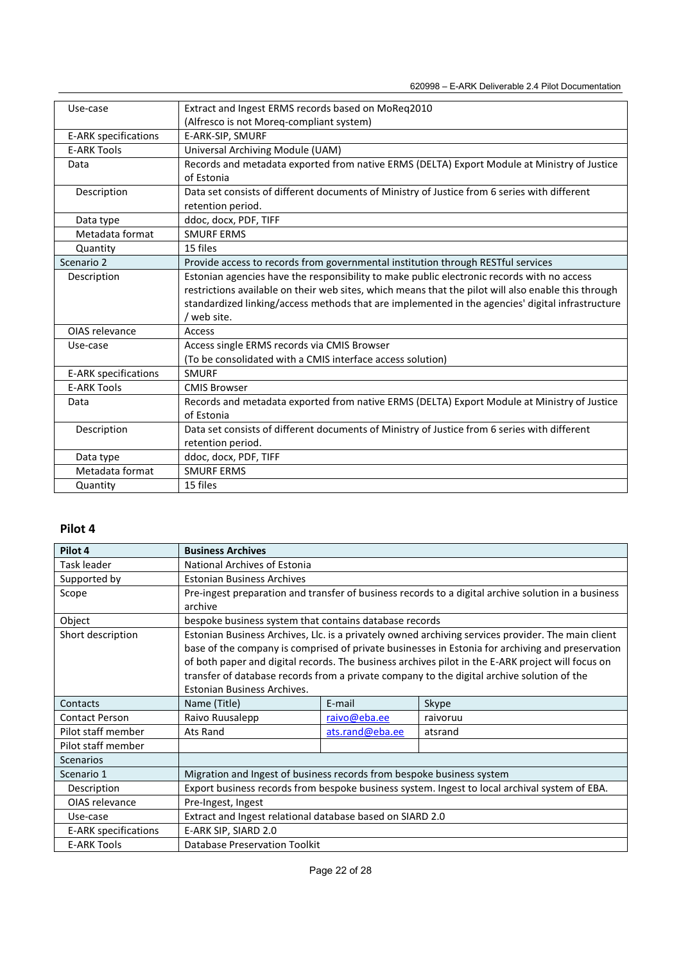| Use-case                    | Extract and Ingest ERMS records based on MoReq2010                                                  |
|-----------------------------|-----------------------------------------------------------------------------------------------------|
|                             | (Alfresco is not Moreq-compliant system)                                                            |
| <b>E-ARK specifications</b> | E-ARK-SIP, SMURF                                                                                    |
| <b>E-ARK Tools</b>          | Universal Archiving Module (UAM)                                                                    |
| Data                        | Records and metadata exported from native ERMS (DELTA) Export Module at Ministry of Justice         |
|                             | of Estonia                                                                                          |
| Description                 | Data set consists of different documents of Ministry of Justice from 6 series with different        |
|                             | retention period.                                                                                   |
| Data type                   | ddoc, docx, PDF, TIFF                                                                               |
| Metadata format             | <b>SMURF ERMS</b>                                                                                   |
| Quantity                    | 15 files                                                                                            |
| Scenario 2                  | Provide access to records from governmental institution through RESTful services                    |
| Description                 | Estonian agencies have the responsibility to make public electronic records with no access          |
|                             | restrictions available on their web sites, which means that the pilot will also enable this through |
|                             | standardized linking/access methods that are implemented in the agencies' digital infrastructure    |
|                             | / web site.                                                                                         |
| OIAS relevance              | Access                                                                                              |
| Use-case                    | Access single ERMS records via CMIS Browser                                                         |
|                             | (To be consolidated with a CMIS interface access solution)                                          |
| E-ARK specifications        | <b>SMURF</b>                                                                                        |
| <b>E-ARK Tools</b>          | <b>CMIS Browser</b>                                                                                 |
| Data                        | Records and metadata exported from native ERMS (DELTA) Export Module at Ministry of Justice         |
|                             | of Estonia                                                                                          |
| Description                 | Data set consists of different documents of Ministry of Justice from 6 series with different        |
|                             | retention period.                                                                                   |
| Data type                   | ddoc, docx, PDF, TIFF                                                                               |
| Metadata format             | <b>SMURF ERMS</b>                                                                                   |
| Quantity                    | 15 files                                                                                            |

| Pilot 4               | <b>Business Archives</b>                                                                            |                 |                                                                                                   |
|-----------------------|-----------------------------------------------------------------------------------------------------|-----------------|---------------------------------------------------------------------------------------------------|
| Task leader           | National Archives of Estonia                                                                        |                 |                                                                                                   |
| Supported by          | <b>Estonian Business Archives</b>                                                                   |                 |                                                                                                   |
| Scope                 | Pre-ingest preparation and transfer of business records to a digital archive solution in a business |                 |                                                                                                   |
|                       | archive                                                                                             |                 |                                                                                                   |
| Object                | bespoke business system that contains database records                                              |                 |                                                                                                   |
| Short description     | Estonian Business Archives, Llc. is a privately owned archiving services provider. The main client  |                 |                                                                                                   |
|                       | base of the company is comprised of private businesses in Estonia for archiving and preservation    |                 |                                                                                                   |
|                       |                                                                                                     |                 | of both paper and digital records. The business archives pilot in the E-ARK project will focus on |
|                       | transfer of database records from a private company to the digital archive solution of the          |                 |                                                                                                   |
|                       | Estonian Business Archives.                                                                         |                 |                                                                                                   |
| Contacts              | Name (Title)                                                                                        | E-mail          | Skype                                                                                             |
| <b>Contact Person</b> | Raivo Ruusalepp                                                                                     | raivo@eba.ee    | raivoruu                                                                                          |
| Pilot staff member    | Ats Rand                                                                                            | ats.rand@eba.ee | atsrand                                                                                           |
| Pilot staff member    |                                                                                                     |                 |                                                                                                   |
| <b>Scenarios</b>      |                                                                                                     |                 |                                                                                                   |
| Scenario 1            | Migration and Ingest of business records from bespoke business system                               |                 |                                                                                                   |
| Description           | Export business records from bespoke business system. Ingest to local archival system of EBA.       |                 |                                                                                                   |
| OIAS relevance        | Pre-Ingest, Ingest                                                                                  |                 |                                                                                                   |
| Use-case              | Extract and Ingest relational database based on SIARD 2.0                                           |                 |                                                                                                   |
| E-ARK specifications  | E-ARK SIP, SIARD 2.0                                                                                |                 |                                                                                                   |
| <b>E-ARK Tools</b>    | Database Preservation Toolkit                                                                       |                 |                                                                                                   |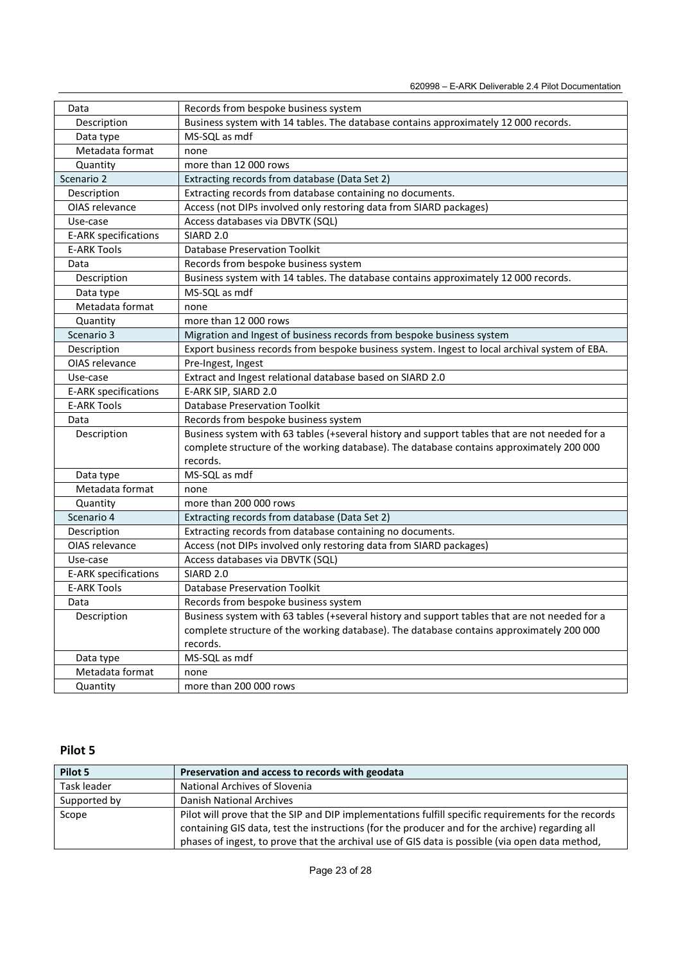| Data                        | Records from bespoke business system                                                          |  |  |
|-----------------------------|-----------------------------------------------------------------------------------------------|--|--|
| Description                 | Business system with 14 tables. The database contains approximately 12 000 records.           |  |  |
| Data type                   | MS-SQL as mdf                                                                                 |  |  |
| Metadata format             | none                                                                                          |  |  |
| Quantity                    | more than 12 000 rows                                                                         |  |  |
| Scenario 2                  | Extracting records from database (Data Set 2)                                                 |  |  |
| Description                 | Extracting records from database containing no documents.                                     |  |  |
| OIAS relevance              | Access (not DIPs involved only restoring data from SIARD packages)                            |  |  |
| Use-case                    | Access databases via DBVTK (SQL)                                                              |  |  |
| E-ARK specifications        | SIARD <sub>2.0</sub>                                                                          |  |  |
| <b>E-ARK Tools</b>          | <b>Database Preservation Toolkit</b>                                                          |  |  |
| Data                        | Records from bespoke business system                                                          |  |  |
| Description                 | Business system with 14 tables. The database contains approximately 12 000 records.           |  |  |
| Data type                   | MS-SQL as mdf                                                                                 |  |  |
| Metadata format             | none                                                                                          |  |  |
| Quantity                    | more than 12 000 rows                                                                         |  |  |
| Scenario 3                  | Migration and Ingest of business records from bespoke business system                         |  |  |
| Description                 | Export business records from bespoke business system. Ingest to local archival system of EBA. |  |  |
| OIAS relevance              | Pre-Ingest, Ingest                                                                            |  |  |
| Use-case                    | Extract and Ingest relational database based on SIARD 2.0                                     |  |  |
| <b>E-ARK specifications</b> | E-ARK SIP, SIARD 2.0                                                                          |  |  |
| <b>E-ARK Tools</b>          | <b>Database Preservation Toolkit</b>                                                          |  |  |
| Data                        | Records from bespoke business system                                                          |  |  |
| Description                 | Business system with 63 tables (+several history and support tables that are not needed for a |  |  |
|                             | complete structure of the working database). The database contains approximately 200 000      |  |  |
|                             | records.                                                                                      |  |  |
| Data type                   | MS-SQL as mdf                                                                                 |  |  |
| Metadata format             | none                                                                                          |  |  |
| Quantity                    | more than 200 000 rows                                                                        |  |  |
| Scenario 4                  | Extracting records from database (Data Set 2)                                                 |  |  |
| Description                 | Extracting records from database containing no documents.                                     |  |  |
| OIAS relevance              | Access (not DIPs involved only restoring data from SIARD packages)                            |  |  |
| Use-case                    | Access databases via DBVTK (SQL)                                                              |  |  |
| E-ARK specifications        | SIARD <sub>2.0</sub>                                                                          |  |  |
| <b>E-ARK Tools</b>          | <b>Database Preservation Toolkit</b>                                                          |  |  |
| Data                        | Records from bespoke business system                                                          |  |  |
| Description                 | Business system with 63 tables (+several history and support tables that are not needed for a |  |  |
|                             | complete structure of the working database). The database contains approximately 200 000      |  |  |
|                             | records.                                                                                      |  |  |
| Data type                   | MS-SQL as mdf                                                                                 |  |  |
| Metadata format             | none                                                                                          |  |  |
| Quantity                    | more than 200 000 rows                                                                        |  |  |

| Pilot 5      | Preservation and access to records with geodata                                                     |
|--------------|-----------------------------------------------------------------------------------------------------|
| Task leader  | <b>National Archives of Slovenia</b>                                                                |
| Supported by | Danish National Archives                                                                            |
| Scope        | Pilot will prove that the SIP and DIP implementations fulfill specific requirements for the records |
|              | containing GIS data, test the instructions (for the producer and for the archive) regarding all     |
|              | phases of ingest, to prove that the archival use of GIS data is possible (via open data method,     |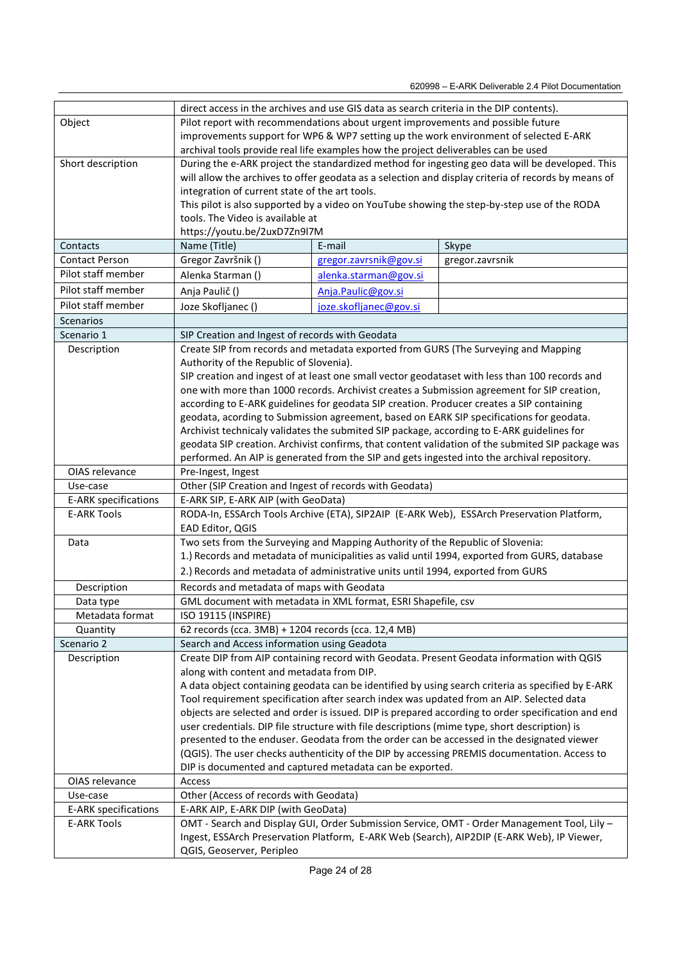620998 – E-ARK Deliverable 2.4 Pilot Documentation

|                             | direct access in the archives and use GIS data as search criteria in the DIP contents).                                                                                                  |                        |                                                                                                    |
|-----------------------------|------------------------------------------------------------------------------------------------------------------------------------------------------------------------------------------|------------------------|----------------------------------------------------------------------------------------------------|
| Object                      | Pilot report with recommendations about urgent improvements and possible future                                                                                                          |                        |                                                                                                    |
|                             | improvements support for WP6 & WP7 setting up the work environment of selected E-ARK                                                                                                     |                        |                                                                                                    |
|                             | archival tools provide real life examples how the project deliverables can be used                                                                                                       |                        |                                                                                                    |
| Short description           | During the e-ARK project the standardized method for ingesting geo data will be developed. This                                                                                          |                        |                                                                                                    |
|                             | will allow the archives to offer geodata as a selection and display criteria of records by means of                                                                                      |                        |                                                                                                    |
|                             | integration of current state of the art tools.                                                                                                                                           |                        |                                                                                                    |
|                             | This pilot is also supported by a video on YouTube showing the step-by-step use of the RODA                                                                                              |                        |                                                                                                    |
|                             | tools. The Video is available at                                                                                                                                                         |                        |                                                                                                    |
|                             | https://youtu.be/2uxD7Zn9l7M                                                                                                                                                             |                        |                                                                                                    |
| Contacts                    | Name (Title)                                                                                                                                                                             | E-mail                 | Skype                                                                                              |
| <b>Contact Person</b>       | Gregor Završnik ()                                                                                                                                                                       | gregor.zavrsnik@gov.si | gregor.zavrsnik                                                                                    |
| Pilot staff member          | Alenka Starman ()                                                                                                                                                                        | alenka.starman@gov.si  |                                                                                                    |
| Pilot staff member          | Anja Paulič ()                                                                                                                                                                           | Anja.Paulic@gov.si     |                                                                                                    |
| Pilot staff member          | Joze Skofljanec ()                                                                                                                                                                       | joze.skofljanec@gov.si |                                                                                                    |
| Scenarios                   |                                                                                                                                                                                          |                        |                                                                                                    |
| Scenario 1                  | SIP Creation and Ingest of records with Geodata                                                                                                                                          |                        |                                                                                                    |
| Description                 |                                                                                                                                                                                          |                        | Create SIP from records and metadata exported from GURS (The Surveying and Mapping                 |
|                             | Authority of the Republic of Slovenia).                                                                                                                                                  |                        |                                                                                                    |
|                             |                                                                                                                                                                                          |                        | SIP creation and ingest of at least one small vector geodataset with less than 100 records and     |
|                             |                                                                                                                                                                                          |                        |                                                                                                    |
|                             | one with more than 1000 records. Archivist creates a Submission agreement for SIP creation,<br>according to E-ARK guidelines for geodata SIP creation. Producer creates a SIP containing |                        |                                                                                                    |
|                             |                                                                                                                                                                                          |                        | geodata, acording to Submission agreement, based on EARK SIP specifications for geodata.           |
|                             |                                                                                                                                                                                          |                        | Archivist technicaly validates the submited SIP package, according to E-ARK guidelines for         |
|                             |                                                                                                                                                                                          |                        | geodata SIP creation. Archivist confirms, that content validation of the submited SIP package was  |
|                             |                                                                                                                                                                                          |                        | performed. An AIP is generated from the SIP and gets ingested into the archival repository.        |
| OIAS relevance              | Pre-Ingest, Ingest                                                                                                                                                                       |                        |                                                                                                    |
| Use-case                    | Other (SIP Creation and Ingest of records with Geodata)                                                                                                                                  |                        |                                                                                                    |
| <b>E-ARK specifications</b> | E-ARK SIP, E-ARK AIP (with GeoData)                                                                                                                                                      |                        |                                                                                                    |
| <b>E-ARK Tools</b>          | RODA-In, ESSArch Tools Archive (ETA), SIP2AIP (E-ARK Web), ESSArch Preservation Platform,                                                                                                |                        |                                                                                                    |
|                             | EAD Editor, QGIS                                                                                                                                                                         |                        |                                                                                                    |
| Data                        | Two sets from the Surveying and Mapping Authority of the Republic of Slovenia:                                                                                                           |                        |                                                                                                    |
|                             |                                                                                                                                                                                          |                        | 1.) Records and metadata of municipalities as valid until 1994, exported from GURS, database       |
|                             | 2.) Records and metadata of administrative units until 1994, exported from GURS                                                                                                          |                        |                                                                                                    |
| Description                 | Records and metadata of maps with Geodata                                                                                                                                                |                        |                                                                                                    |
| Data type                   | GML document with metadata in XML format, ESRI Shapefile, csv                                                                                                                            |                        |                                                                                                    |
| Metadata format             | ISO 19115 (INSPIRE)                                                                                                                                                                      |                        |                                                                                                    |
| Quantity                    | 62 records (cca. 3MB) + 1204 records (cca. 12,4 MB)                                                                                                                                      |                        |                                                                                                    |
| Scenario 2                  | Search and Access information using Geadota                                                                                                                                              |                        |                                                                                                    |
| Description                 |                                                                                                                                                                                          |                        | Create DIP from AIP containing record with Geodata. Present Geodata information with QGIS          |
|                             | along with content and metadata from DIP.                                                                                                                                                |                        |                                                                                                    |
|                             |                                                                                                                                                                                          |                        | A data object containing geodata can be identified by using search criteria as specified by E-ARK  |
|                             |                                                                                                                                                                                          |                        | Tool requirement specification after search index was updated from an AIP. Selected data           |
|                             |                                                                                                                                                                                          |                        | objects are selected and order is issued. DIP is prepared according to order specification and end |
|                             |                                                                                                                                                                                          |                        | user credentials. DIP file structure with file descriptions (mime type, short description) is      |
|                             |                                                                                                                                                                                          |                        | presented to the enduser. Geodata from the order can be accessed in the designated viewer          |
|                             |                                                                                                                                                                                          |                        | (QGIS). The user checks authenticity of the DIP by accessing PREMIS documentation. Access to       |
|                             | DIP is documented and captured metadata can be exported.                                                                                                                                 |                        |                                                                                                    |
| OIAS relevance              | Access                                                                                                                                                                                   |                        |                                                                                                    |
| Use-case                    | Other (Access of records with Geodata)                                                                                                                                                   |                        |                                                                                                    |
| E-ARK specifications        | E-ARK AIP, E-ARK DIP (with GeoData)                                                                                                                                                      |                        |                                                                                                    |
| <b>E-ARK Tools</b>          |                                                                                                                                                                                          |                        | OMT - Search and Display GUI, Order Submission Service, OMT - Order Management Tool, Lily -        |
|                             |                                                                                                                                                                                          |                        | Ingest, ESSArch Preservation Platform, E-ARK Web (Search), AIP2DIP (E-ARK Web), IP Viewer,         |
|                             | QGIS, Geoserver, Peripleo                                                                                                                                                                |                        |                                                                                                    |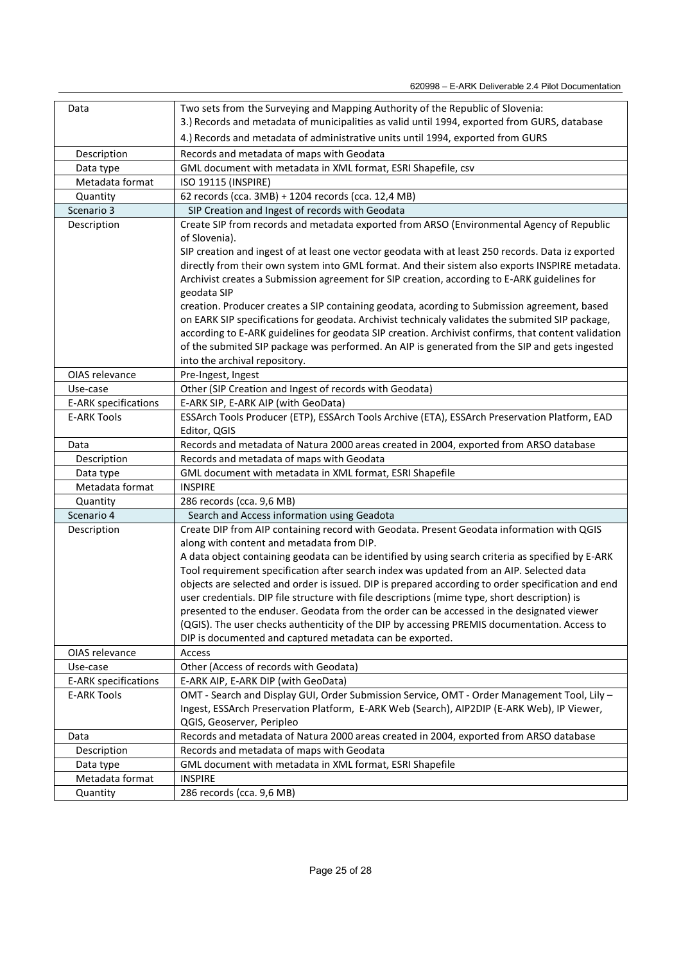| Data                        | Two sets from the Surveying and Mapping Authority of the Republic of Slovenia:                      |  |  |
|-----------------------------|-----------------------------------------------------------------------------------------------------|--|--|
|                             | 3.) Records and metadata of municipalities as valid until 1994, exported from GURS, database        |  |  |
|                             | 4.) Records and metadata of administrative units until 1994, exported from GURS                     |  |  |
| Description                 | Records and metadata of maps with Geodata                                                           |  |  |
| Data type                   | GML document with metadata in XML format, ESRI Shapefile, csv                                       |  |  |
| Metadata format             | ISO 19115 (INSPIRE)                                                                                 |  |  |
| Quantity                    | 62 records (cca. 3MB) + 1204 records (cca. 12,4 MB)                                                 |  |  |
| Scenario 3                  | SIP Creation and Ingest of records with Geodata                                                     |  |  |
| Description                 | Create SIP from records and metadata exported from ARSO (Environmental Agency of Republic           |  |  |
|                             | of Slovenia).                                                                                       |  |  |
|                             | SIP creation and ingest of at least one vector geodata with at least 250 records. Data iz exported  |  |  |
|                             | directly from their own system into GML format. And their sistem also exports INSPIRE metadata.     |  |  |
|                             | Archivist creates a Submission agreement for SIP creation, according to E-ARK guidelines for        |  |  |
|                             | geodata SIP                                                                                         |  |  |
|                             | creation. Producer creates a SIP containing geodata, acording to Submission agreement, based        |  |  |
|                             | on EARK SIP specifications for geodata. Archivist technicaly validates the submited SIP package,    |  |  |
|                             | according to E-ARK guidelines for geodata SIP creation. Archivist confirms, that content validation |  |  |
|                             | of the submited SIP package was performed. An AIP is generated from the SIP and gets ingested       |  |  |
|                             | into the archival repository.                                                                       |  |  |
| OIAS relevance              | Pre-Ingest, Ingest                                                                                  |  |  |
| Use-case                    | Other (SIP Creation and Ingest of records with Geodata)                                             |  |  |
| <b>E-ARK specifications</b> | E-ARK SIP, E-ARK AIP (with GeoData)                                                                 |  |  |
| <b>E-ARK Tools</b>          | ESSArch Tools Producer (ETP), ESSArch Tools Archive (ETA), ESSArch Preservation Platform, EAD       |  |  |
|                             | Editor, QGIS                                                                                        |  |  |
| Data                        | Records and metadata of Natura 2000 areas created in 2004, exported from ARSO database              |  |  |
| Description                 | Records and metadata of maps with Geodata                                                           |  |  |
| Data type                   | GML document with metadata in XML format, ESRI Shapefile                                            |  |  |
| Metadata format             | <b>INSPIRE</b>                                                                                      |  |  |
| Quantity                    | 286 records (cca. 9,6 MB)                                                                           |  |  |
| Scenario 4                  | Search and Access information using Geadota                                                         |  |  |
| Description                 | Create DIP from AIP containing record with Geodata. Present Geodata information with QGIS           |  |  |
|                             | along with content and metadata from DIP.                                                           |  |  |
|                             | A data object containing geodata can be identified by using search criteria as specified by E-ARK   |  |  |
|                             | Tool requirement specification after search index was updated from an AIP. Selected data            |  |  |
|                             | objects are selected and order is issued. DIP is prepared according to order specification and end  |  |  |
|                             | user credentials. DIP file structure with file descriptions (mime type, short description) is       |  |  |
|                             | presented to the enduser. Geodata from the order can be accessed in the designated viewer           |  |  |
|                             | (QGIS). The user checks authenticity of the DIP by accessing PREMIS documentation. Access to        |  |  |
|                             | DIP is documented and captured metadata can be exported.                                            |  |  |
| OIAS relevance              | Access                                                                                              |  |  |
| Use-case                    | Other (Access of records with Geodata)                                                              |  |  |
| <b>E-ARK specifications</b> | E-ARK AIP, E-ARK DIP (with GeoData)                                                                 |  |  |
| <b>E-ARK Tools</b>          | OMT - Search and Display GUI, Order Submission Service, OMT - Order Management Tool, Lily -         |  |  |
|                             | Ingest, ESSArch Preservation Platform, E-ARK Web (Search), AIP2DIP (E-ARK Web), IP Viewer,          |  |  |
|                             | QGIS, Geoserver, Peripleo                                                                           |  |  |
| Data                        | Records and metadata of Natura 2000 areas created in 2004, exported from ARSO database              |  |  |
| Description                 | Records and metadata of maps with Geodata                                                           |  |  |
| Data type                   | GML document with metadata in XML format, ESRI Shapefile                                            |  |  |
| Metadata format             | <b>INSPIRE</b>                                                                                      |  |  |
| Quantity                    | 286 records (cca. 9,6 MB)                                                                           |  |  |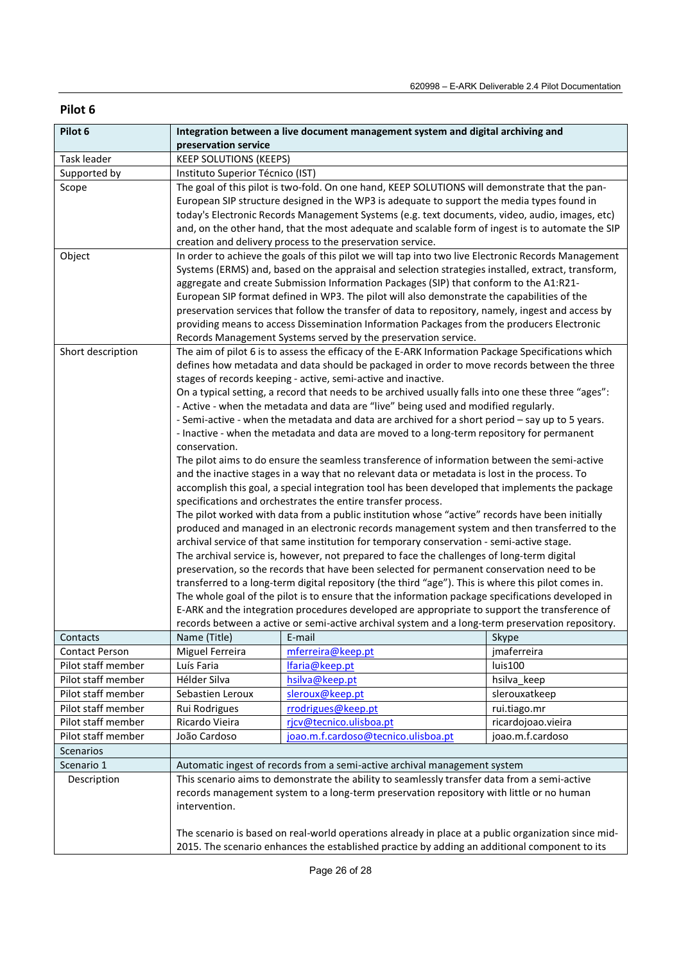| Pilot 6               |                                                                                                                                                                                                                                                                                                                                                                                                                                                                                                                                                                                                                                                                                                                                                                                                                                                                                                                                                                                                                                                                                                                                                                                                                                                                                                                                                                                                                                                                                                                                                                                                                                                                                                                                                                                                                                                                                                                                                                   | Integration between a live document management system and digital archiving and |                    |
|-----------------------|-------------------------------------------------------------------------------------------------------------------------------------------------------------------------------------------------------------------------------------------------------------------------------------------------------------------------------------------------------------------------------------------------------------------------------------------------------------------------------------------------------------------------------------------------------------------------------------------------------------------------------------------------------------------------------------------------------------------------------------------------------------------------------------------------------------------------------------------------------------------------------------------------------------------------------------------------------------------------------------------------------------------------------------------------------------------------------------------------------------------------------------------------------------------------------------------------------------------------------------------------------------------------------------------------------------------------------------------------------------------------------------------------------------------------------------------------------------------------------------------------------------------------------------------------------------------------------------------------------------------------------------------------------------------------------------------------------------------------------------------------------------------------------------------------------------------------------------------------------------------------------------------------------------------------------------------------------------------|---------------------------------------------------------------------------------|--------------------|
|                       | preservation service                                                                                                                                                                                                                                                                                                                                                                                                                                                                                                                                                                                                                                                                                                                                                                                                                                                                                                                                                                                                                                                                                                                                                                                                                                                                                                                                                                                                                                                                                                                                                                                                                                                                                                                                                                                                                                                                                                                                              |                                                                                 |                    |
| Task leader           | <b>KEEP SOLUTIONS (KEEPS)</b>                                                                                                                                                                                                                                                                                                                                                                                                                                                                                                                                                                                                                                                                                                                                                                                                                                                                                                                                                                                                                                                                                                                                                                                                                                                                                                                                                                                                                                                                                                                                                                                                                                                                                                                                                                                                                                                                                                                                     |                                                                                 |                    |
| Supported by          | Instituto Superior Técnico (IST)                                                                                                                                                                                                                                                                                                                                                                                                                                                                                                                                                                                                                                                                                                                                                                                                                                                                                                                                                                                                                                                                                                                                                                                                                                                                                                                                                                                                                                                                                                                                                                                                                                                                                                                                                                                                                                                                                                                                  |                                                                                 |                    |
| Scope                 | The goal of this pilot is two-fold. On one hand, KEEP SOLUTIONS will demonstrate that the pan-<br>European SIP structure designed in the WP3 is adequate to support the media types found in<br>today's Electronic Records Management Systems (e.g. text documents, video, audio, images, etc)<br>and, on the other hand, that the most adequate and scalable form of ingest is to automate the SIP<br>creation and delivery process to the preservation service.                                                                                                                                                                                                                                                                                                                                                                                                                                                                                                                                                                                                                                                                                                                                                                                                                                                                                                                                                                                                                                                                                                                                                                                                                                                                                                                                                                                                                                                                                                 |                                                                                 |                    |
| Object                | In order to achieve the goals of this pilot we will tap into two live Electronic Records Management<br>Systems (ERMS) and, based on the appraisal and selection strategies installed, extract, transform,<br>aggregate and create Submission Information Packages (SIP) that conform to the A1:R21-<br>European SIP format defined in WP3. The pilot will also demonstrate the capabilities of the<br>preservation services that follow the transfer of data to repository, namely, ingest and access by<br>providing means to access Dissemination Information Packages from the producers Electronic<br>Records Management Systems served by the preservation service.                                                                                                                                                                                                                                                                                                                                                                                                                                                                                                                                                                                                                                                                                                                                                                                                                                                                                                                                                                                                                                                                                                                                                                                                                                                                                          |                                                                                 |                    |
| Short description     | The aim of pilot 6 is to assess the efficacy of the E-ARK Information Package Specifications which<br>defines how metadata and data should be packaged in order to move records between the three<br>stages of records keeping - active, semi-active and inactive.<br>On a typical setting, a record that needs to be archived usually falls into one these three "ages":<br>- Active - when the metadata and data are "live" being used and modified regularly.<br>- Semi-active - when the metadata and data are archived for a short period - say up to 5 years.<br>- Inactive - when the metadata and data are moved to a long-term repository for permanent<br>conservation.<br>The pilot aims to do ensure the seamless transference of information between the semi-active<br>and the inactive stages in a way that no relevant data or metadata is lost in the process. To<br>accomplish this goal, a special integration tool has been developed that implements the package<br>specifications and orchestrates the entire transfer process.<br>The pilot worked with data from a public institution whose "active" records have been initially<br>produced and managed in an electronic records management system and then transferred to the<br>archival service of that same institution for temporary conservation - semi-active stage.<br>The archival service is, however, not prepared to face the challenges of long-term digital<br>preservation, so the records that have been selected for permanent conservation need to be<br>transferred to a long-term digital repository (the third "age"). This is where this pilot comes in.<br>The whole goal of the pilot is to ensure that the information package specifications developed in<br>E-ARK and the integration procedures developed are appropriate to support the transference of<br>records between a active or semi-active archival system and a long-term preservation repository. |                                                                                 |                    |
| Contacts              | Name (Title)                                                                                                                                                                                                                                                                                                                                                                                                                                                                                                                                                                                                                                                                                                                                                                                                                                                                                                                                                                                                                                                                                                                                                                                                                                                                                                                                                                                                                                                                                                                                                                                                                                                                                                                                                                                                                                                                                                                                                      | E-mail                                                                          | Skype              |
| <b>Contact Person</b> | Miguel Ferreira                                                                                                                                                                                                                                                                                                                                                                                                                                                                                                                                                                                                                                                                                                                                                                                                                                                                                                                                                                                                                                                                                                                                                                                                                                                                                                                                                                                                                                                                                                                                                                                                                                                                                                                                                                                                                                                                                                                                                   | mferreira@keep.pt                                                               | jmaferreira        |
| Pilot staff member    | Luís Faria                                                                                                                                                                                                                                                                                                                                                                                                                                                                                                                                                                                                                                                                                                                                                                                                                                                                                                                                                                                                                                                                                                                                                                                                                                                                                                                                                                                                                                                                                                                                                                                                                                                                                                                                                                                                                                                                                                                                                        | lfaria@keep.pt                                                                  | luis100            |
| Pilot staff member    | Hélder Silva                                                                                                                                                                                                                                                                                                                                                                                                                                                                                                                                                                                                                                                                                                                                                                                                                                                                                                                                                                                                                                                                                                                                                                                                                                                                                                                                                                                                                                                                                                                                                                                                                                                                                                                                                                                                                                                                                                                                                      | hsilva@keep.pt                                                                  | hsilva_keep        |
| Pilot staff member    | Sebastien Leroux                                                                                                                                                                                                                                                                                                                                                                                                                                                                                                                                                                                                                                                                                                                                                                                                                                                                                                                                                                                                                                                                                                                                                                                                                                                                                                                                                                                                                                                                                                                                                                                                                                                                                                                                                                                                                                                                                                                                                  | sleroux@keep.pt                                                                 | slerouxatkeep      |
| Pilot staff member    | Rui Rodrigues                                                                                                                                                                                                                                                                                                                                                                                                                                                                                                                                                                                                                                                                                                                                                                                                                                                                                                                                                                                                                                                                                                                                                                                                                                                                                                                                                                                                                                                                                                                                                                                                                                                                                                                                                                                                                                                                                                                                                     | rrodrigues@keep.pt                                                              | rui.tiago.mr       |
| Pilot staff member    | Ricardo Vieira                                                                                                                                                                                                                                                                                                                                                                                                                                                                                                                                                                                                                                                                                                                                                                                                                                                                                                                                                                                                                                                                                                                                                                                                                                                                                                                                                                                                                                                                                                                                                                                                                                                                                                                                                                                                                                                                                                                                                    | rjcv@tecnico.ulisboa.pt                                                         | ricardojoao.vieira |
| Pilot staff member    | João Cardoso                                                                                                                                                                                                                                                                                                                                                                                                                                                                                                                                                                                                                                                                                                                                                                                                                                                                                                                                                                                                                                                                                                                                                                                                                                                                                                                                                                                                                                                                                                                                                                                                                                                                                                                                                                                                                                                                                                                                                      | joao.m.f.cardoso@tecnico.ulisboa.pt                                             | joao.m.f.cardoso   |
| Scenarios             |                                                                                                                                                                                                                                                                                                                                                                                                                                                                                                                                                                                                                                                                                                                                                                                                                                                                                                                                                                                                                                                                                                                                                                                                                                                                                                                                                                                                                                                                                                                                                                                                                                                                                                                                                                                                                                                                                                                                                                   |                                                                                 |                    |
| Scenario 1            | Automatic ingest of records from a semi-active archival management system                                                                                                                                                                                                                                                                                                                                                                                                                                                                                                                                                                                                                                                                                                                                                                                                                                                                                                                                                                                                                                                                                                                                                                                                                                                                                                                                                                                                                                                                                                                                                                                                                                                                                                                                                                                                                                                                                         |                                                                                 |                    |
| Description           | This scenario aims to demonstrate the ability to seamlessly transfer data from a semi-active<br>records management system to a long-term preservation repository with little or no human<br>intervention.<br>The scenario is based on real-world operations already in place at a public organization since mid-<br>2015. The scenario enhances the established practice by adding an additional component to its                                                                                                                                                                                                                                                                                                                                                                                                                                                                                                                                                                                                                                                                                                                                                                                                                                                                                                                                                                                                                                                                                                                                                                                                                                                                                                                                                                                                                                                                                                                                                 |                                                                                 |                    |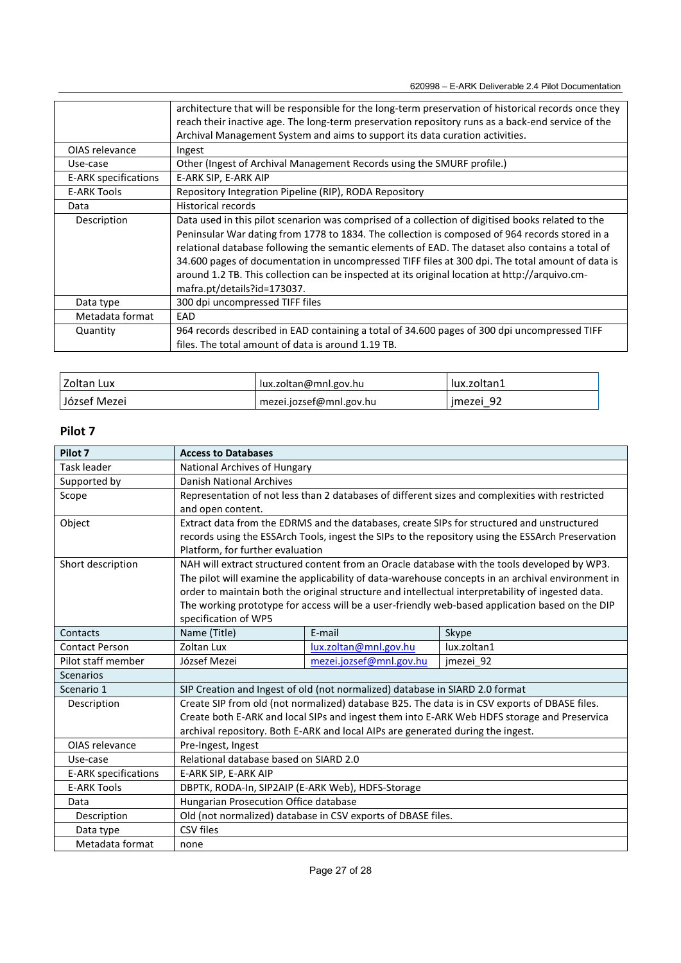|                      | architecture that will be responsible for the long-term preservation of historical records once they<br>reach their inactive age. The long-term preservation repository runs as a back-end service of the                                                                                                                                                                                                                                                                                                                                    |
|----------------------|----------------------------------------------------------------------------------------------------------------------------------------------------------------------------------------------------------------------------------------------------------------------------------------------------------------------------------------------------------------------------------------------------------------------------------------------------------------------------------------------------------------------------------------------|
|                      | Archival Management System and aims to support its data curation activities.                                                                                                                                                                                                                                                                                                                                                                                                                                                                 |
|                      |                                                                                                                                                                                                                                                                                                                                                                                                                                                                                                                                              |
| OIAS relevance       | Ingest                                                                                                                                                                                                                                                                                                                                                                                                                                                                                                                                       |
| Use-case             | Other (Ingest of Archival Management Records using the SMURF profile.)                                                                                                                                                                                                                                                                                                                                                                                                                                                                       |
| E-ARK specifications | E-ARK SIP, E-ARK AIP                                                                                                                                                                                                                                                                                                                                                                                                                                                                                                                         |
| <b>E-ARK Tools</b>   | Repository Integration Pipeline (RIP), RODA Repository                                                                                                                                                                                                                                                                                                                                                                                                                                                                                       |
| Data                 | <b>Historical records</b>                                                                                                                                                                                                                                                                                                                                                                                                                                                                                                                    |
| Description          | Data used in this pilot scenarion was comprised of a collection of digitised books related to the<br>Peninsular War dating from 1778 to 1834. The collection is composed of 964 records stored in a<br>relational database following the semantic elements of EAD. The dataset also contains a total of<br>34.600 pages of documentation in uncompressed TIFF files at 300 dpi. The total amount of data is<br>around 1.2 TB. This collection can be inspected at its original location at http://arquivo.cm-<br>mafra.pt/details?id=173037. |
| Data type            | 300 dpi uncompressed TIFF files                                                                                                                                                                                                                                                                                                                                                                                                                                                                                                              |
| Metadata format      | EAD                                                                                                                                                                                                                                                                                                                                                                                                                                                                                                                                          |
| Quantity             | 964 records described in EAD containing a total of 34.600 pages of 300 dpi uncompressed TIFF<br>files. The total amount of data is around 1.19 TB.                                                                                                                                                                                                                                                                                                                                                                                           |
|                      |                                                                                                                                                                                                                                                                                                                                                                                                                                                                                                                                              |

| Zoltan Lux   | lux.zoltan@mnl.gov.hu   | lux.zoltan1 |
|--------------|-------------------------|-------------|
| József Mezei | mezei.jozsef@mnl.gov.hu | jmezej 92   |

| Pilot 7                     | <b>Access to Databases</b>                                                                        |                                                                                              |                                                                                                   |  |
|-----------------------------|---------------------------------------------------------------------------------------------------|----------------------------------------------------------------------------------------------|---------------------------------------------------------------------------------------------------|--|
| Task leader                 | National Archives of Hungary                                                                      |                                                                                              |                                                                                                   |  |
| Supported by                | Danish National Archives                                                                          |                                                                                              |                                                                                                   |  |
| Scope                       | Representation of not less than 2 databases of different sizes and complexities with restricted   |                                                                                              |                                                                                                   |  |
|                             | and open content.                                                                                 |                                                                                              |                                                                                                   |  |
| Object                      | Extract data from the EDRMS and the databases, create SIPs for structured and unstructured        |                                                                                              |                                                                                                   |  |
|                             | records using the ESSArch Tools, ingest the SIPs to the repository using the ESSArch Preservation |                                                                                              |                                                                                                   |  |
|                             | Platform, for further evaluation                                                                  |                                                                                              |                                                                                                   |  |
| Short description           |                                                                                                   | NAH will extract structured content from an Oracle database with the tools developed by WP3. |                                                                                                   |  |
|                             |                                                                                                   |                                                                                              | The pilot will examine the applicability of data-warehouse concepts in an archival environment in |  |
|                             |                                                                                                   |                                                                                              | order to maintain both the original structure and intellectual interpretability of ingested data. |  |
|                             | The working prototype for access will be a user-friendly web-based application based on the DIP   |                                                                                              |                                                                                                   |  |
|                             | specification of WP5                                                                              |                                                                                              |                                                                                                   |  |
| Contacts                    | Name (Title)                                                                                      | E-mail                                                                                       | Skype                                                                                             |  |
| <b>Contact Person</b>       | Zoltan Lux                                                                                        | lux.zoltan@mnl.gov.hu                                                                        | lux.zoltan1                                                                                       |  |
| Pilot staff member          | József Mezei                                                                                      | mezei.jozsef@mnl.gov.hu                                                                      | jmezei 92                                                                                         |  |
| <b>Scenarios</b>            |                                                                                                   |                                                                                              |                                                                                                   |  |
| Scenario 1                  | SIP Creation and Ingest of old (not normalized) database in SIARD 2.0 format                      |                                                                                              |                                                                                                   |  |
| Description                 | Create SIP from old (not normalized) database B25. The data is in CSV exports of DBASE files.     |                                                                                              |                                                                                                   |  |
|                             | Create both E-ARK and local SIPs and ingest them into E-ARK Web HDFS storage and Preservica       |                                                                                              |                                                                                                   |  |
|                             | archival repository. Both E-ARK and local AIPs are generated during the ingest.                   |                                                                                              |                                                                                                   |  |
| OIAS relevance              | Pre-Ingest, Ingest                                                                                |                                                                                              |                                                                                                   |  |
| Use-case                    | Relational database based on SIARD 2.0                                                            |                                                                                              |                                                                                                   |  |
| <b>E-ARK specifications</b> | E-ARK SIP, E-ARK AIP                                                                              |                                                                                              |                                                                                                   |  |
| <b>E-ARK Tools</b>          | DBPTK, RODA-In, SIP2AIP (E-ARK Web), HDFS-Storage                                                 |                                                                                              |                                                                                                   |  |
| Data                        | Hungarian Prosecution Office database                                                             |                                                                                              |                                                                                                   |  |
| Description                 | Old (not normalized) database in CSV exports of DBASE files.                                      |                                                                                              |                                                                                                   |  |
| Data type                   | CSV files                                                                                         |                                                                                              |                                                                                                   |  |
| Metadata format             | none                                                                                              |                                                                                              |                                                                                                   |  |